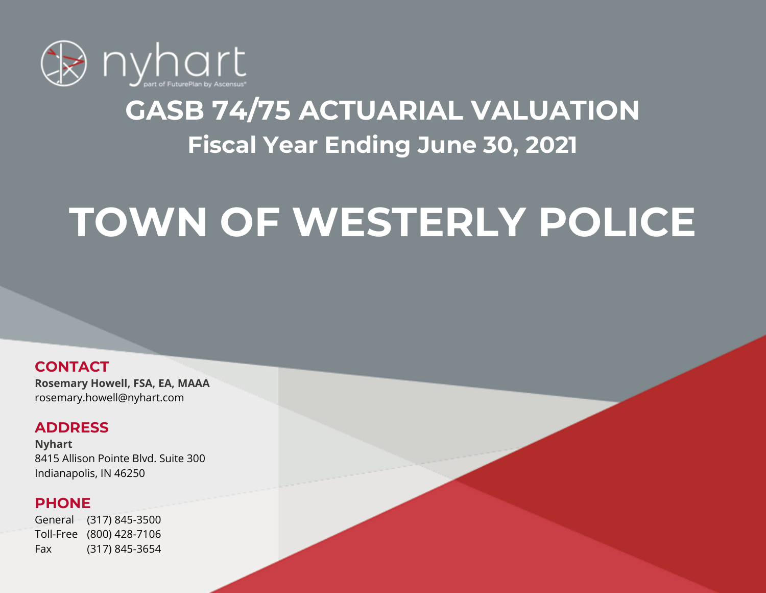

# **GASB 74/75 ACTUARIAL VALUATION Fiscal Year Ending June 30, 2021**

# **TOWN OF WESTERLY POLICE**

### **CONTACT**

**Rosemary Howell, FSA, EA, MAAA** rosemary.howell@nyhart.com

### **ADDRESS**

**Nyhart** 8415 Allison Pointe Blvd. Suite 300 Indianapolis, IN 46250

### **PHONE**

General (317) 845-3500 Toll-Free (800) 428-7106 Fax (317) 845-3654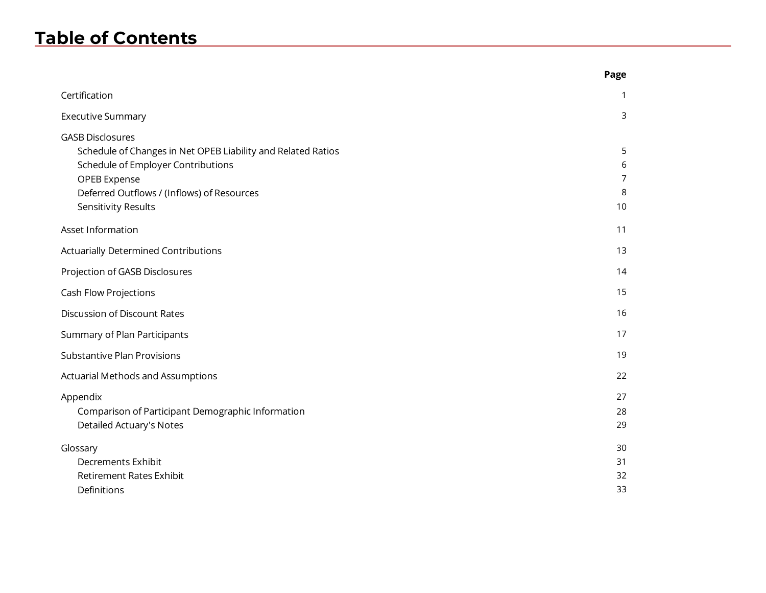### **Table of Contents**

|                                                                                                                                                                                                                    | Page                   |
|--------------------------------------------------------------------------------------------------------------------------------------------------------------------------------------------------------------------|------------------------|
| Certification                                                                                                                                                                                                      | 1                      |
| <b>Executive Summary</b>                                                                                                                                                                                           | 3                      |
| <b>GASB Disclosures</b><br>Schedule of Changes in Net OPEB Liability and Related Ratios<br>Schedule of Employer Contributions<br>OPEB Expense<br>Deferred Outflows / (Inflows) of Resources<br>Sensitivity Results | 5<br>6<br>7<br>8<br>10 |
| Asset Information                                                                                                                                                                                                  | 11                     |
| <b>Actuarially Determined Contributions</b>                                                                                                                                                                        | 13                     |
| Projection of GASB Disclosures                                                                                                                                                                                     | 14                     |
| Cash Flow Projections                                                                                                                                                                                              | 15                     |
| Discussion of Discount Rates                                                                                                                                                                                       | 16                     |
| Summary of Plan Participants                                                                                                                                                                                       | 17                     |
| <b>Substantive Plan Provisions</b>                                                                                                                                                                                 | 19                     |
| <b>Actuarial Methods and Assumptions</b>                                                                                                                                                                           | 22                     |
| Appendix<br>Comparison of Participant Demographic Information<br>Detailed Actuary's Notes                                                                                                                          | 27<br>28<br>29         |
| Glossary<br>Decrements Exhibit<br><b>Retirement Rates Exhibit</b><br>Definitions                                                                                                                                   | 30<br>31<br>32<br>33   |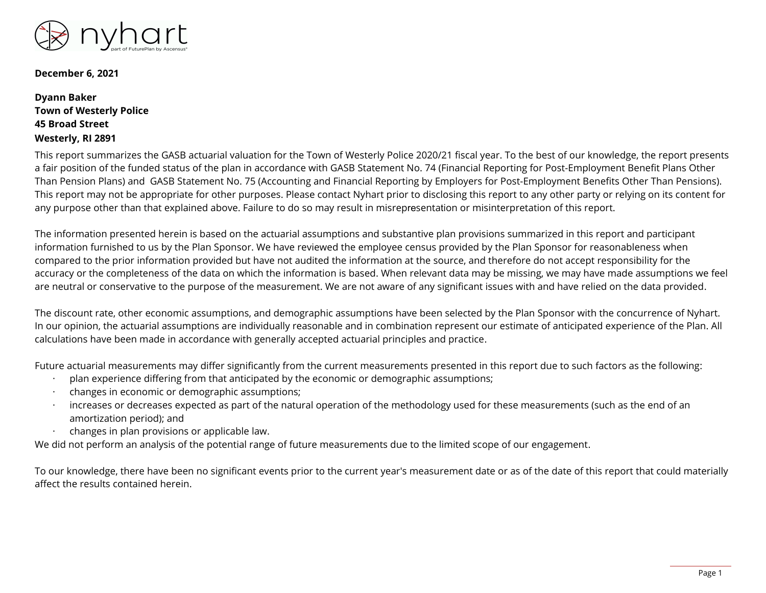

**December 6, 2021**

#### **Dyann Baker Town of Westerly Police 45 Broad Street Westerly, RI 2891**

This report summarizes the GASB actuarial valuation for the Town of Westerly Police 2020/21 fiscal year. To the best of our knowledge, the report presents a fair position of the funded status of the plan in accordance with GASB Statement No. 74 (Financial Reporting for Post-Employment Benefit Plans Other Than Pension Plans) and GASB Statement No. 75 (Accounting and Financial Reporting by Employers for Post-Employment Benefits Other Than Pensions). This report may not be appropriate for other purposes. Please contact Nyhart prior to disclosing this report to any other party or relying on its content for any purpose other than that explained above. Failure to do so may result in misrepresentation or misinterpretation of this report.

The information presented herein is based on the actuarial assumptions and substantive plan provisions summarized in this report and participant information furnished to us by the Plan Sponsor. We have reviewed the employee census provided by the Plan Sponsor for reasonableness when compared to the prior information provided but have not audited the information at the source, and therefore do not accept responsibility for the accuracy or the completeness of the data on which the information is based. When relevant data may be missing, we may have made assumptions we feel are neutral or conservative to the purpose of the measurement. We are not aware of any significant issues with and have relied on the data provided.

The discount rate, other economic assumptions, and demographic assumptions have been selected by the Plan Sponsor with the concurrence of Nyhart. In our opinion, the actuarial assumptions are individually reasonable and in combination represent our estimate of anticipated experience of the Plan. All calculations have been made in accordance with generally accepted actuarial principles and practice.

Future actuarial measurements may differ significantly from the current measurements presented in this report due to such factors as the following:

- · plan experience differing from that anticipated by the economic or demographic assumptions;
- · changes in economic or demographic assumptions;
- increases or decreases expected as part of the natural operation of the methodology used for these measurements (such as the end of an amortization period); and
- · changes in plan provisions or applicable law.

We did not perform an analysis of the potential range of future measurements due to the limited scope of our engagement.

To our knowledge, there have been no significant events prior to the current year's measurement date or as of the date of this report that could materially affect the results contained herein.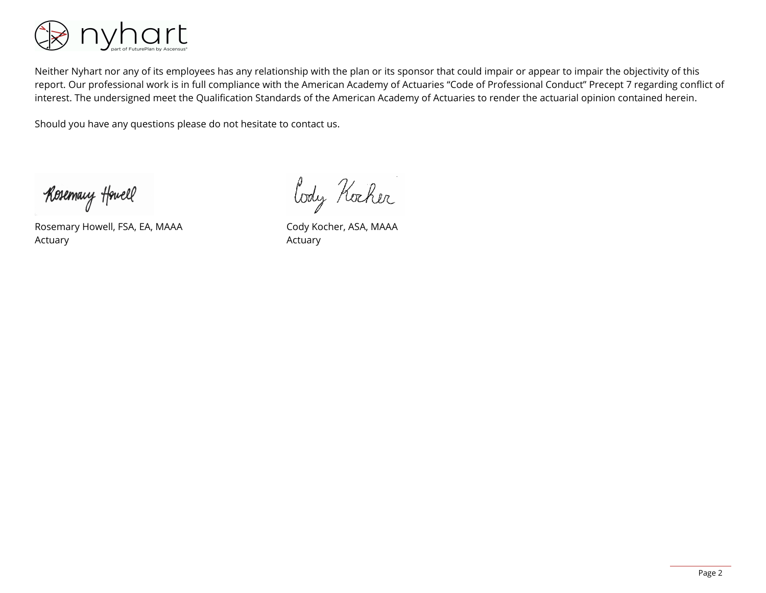

Neither Nyhart nor any of its employees has any relationship with the plan or its sponsor that could impair or appear to impair the objectivity of this report. Our professional work is in full compliance with the American Academy of Actuaries "Code of Professional Conduct" Precept 7 regarding conflict of interest. The undersigned meet the Qualification Standards of the American Academy of Actuaries to render the actuarial opinion contained herein.

Should you have any questions please do not hesitate to contact us.

Kosemary Howell

Rosemary Howell, FSA, EA, MAAA Actuary

Cody Kocher

Cody Kocher, ASA, MAAA Actuary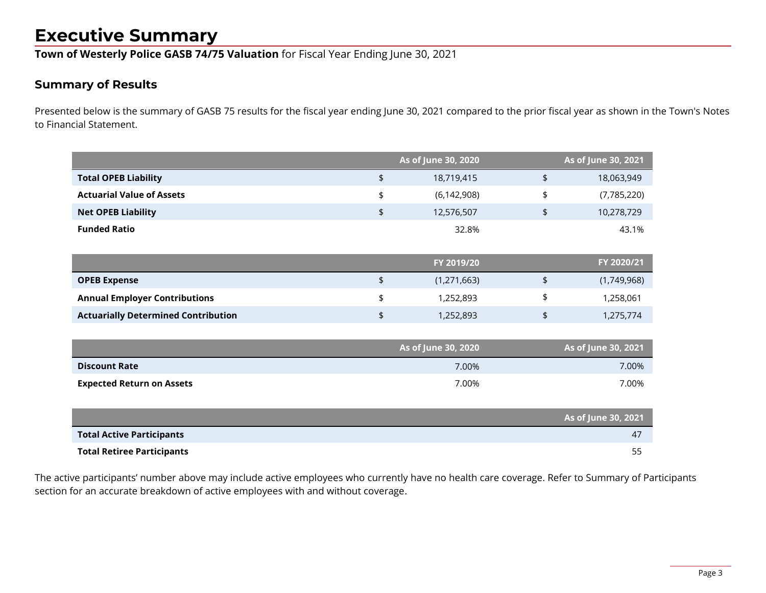### **Executive Summary**

**Town of Westerly Police GASB 74/75 Valuation** for Fiscal Year Ending June 30, 2021

### **Summary of Results**

Presented below is the summary of GASB 75 results for the fiscal year ending June 30, 2021 compared to the prior fiscal year as shown in the Town's Notes to Financial Statement.

|                                            |                | As of June 30, 2020 | As of June 30, 2021 |
|--------------------------------------------|----------------|---------------------|---------------------|
| <b>Total OPEB Liability</b>                | $\updownarrow$ | 18,719,415          | \$<br>18,063,949    |
| <b>Actuarial Value of Assets</b>           | \$             | (6, 142, 908)       | \$<br>(7,785,220)   |
| <b>Net OPEB Liability</b>                  | \$             | 12,576,507          | \$<br>10,278,729    |
| <b>Funded Ratio</b>                        |                | 32.8%               | 43.1%               |
|                                            |                |                     |                     |
|                                            |                | FY 2019/20          | FY 2020/21          |
| <b>OPEB Expense</b>                        | \$             | (1, 271, 663)       | \$<br>(1,749,968)   |
| <b>Annual Employer Contributions</b>       | \$             | 1,252,893           | \$<br>1,258,061     |
| <b>Actuarially Determined Contribution</b> | \$             | 1,252,893           | \$<br>1,275,774     |
|                                            |                |                     |                     |
|                                            |                | As of June 30, 2020 | As of June 30, 2021 |
| <b>Discount Rate</b>                       |                | 7.00%               | 7.00%               |
| <b>Expected Return on Assets</b>           |                | 7.00%               | 7.00%               |
|                                            |                |                     |                     |
|                                            |                |                     | As of June 30, 2021 |
| <b>Total Active Participants</b>           |                |                     | 47                  |
| <b>Total Retiree Participants</b>          |                |                     | 55                  |

The active participants' number above may include active employees who currently have no health care coverage. Refer to Summary of Participants section for an accurate breakdown of active employees with and without coverage.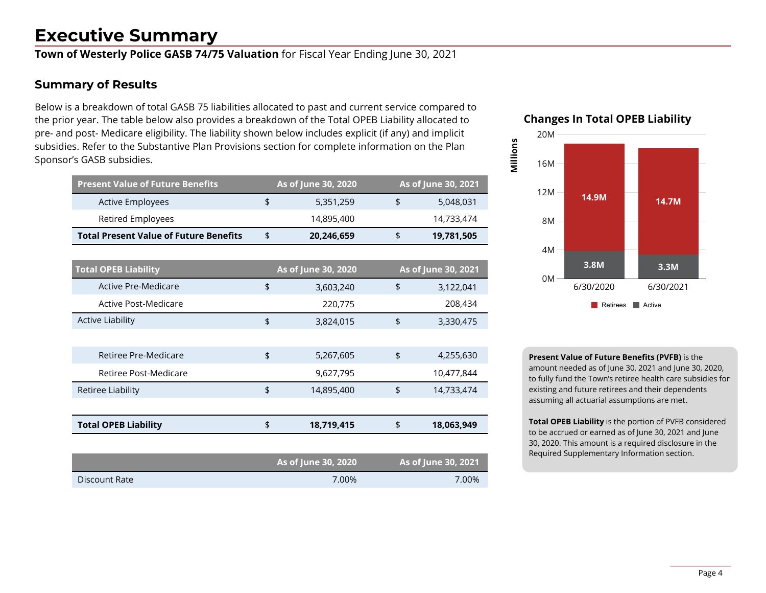### **Executive Summary**

**Town of Westerly Police GASB 74/75 Valuation** for Fiscal Year Ending June 30, 2021

#### **Summary of Results**

Below is a breakdown of total GASB 75 liabilities allocated to past and current service compared to the prior year. The table below also provides a breakdown of the Total OPEB Liability allocated to pre- and post- Medicare eligibility. The liability shown below includes explicit (if any) and implicit subsidies. Refer to the Substantive Plan Provisions section for complete information on the Plan Sponsor's GASB subsidies.

| <b>Present Value of Future Benefits</b>       |               | As of June 30, 2020 | As of June 30, 2021 |
|-----------------------------------------------|---------------|---------------------|---------------------|
| <b>Active Employees</b>                       | \$            | 5,351,259           | \$<br>5,048,031     |
| Retired Employees                             |               | 14,895,400          | 14,733,474          |
| <b>Total Present Value of Future Benefits</b> | \$            | 20,246,659          | \$<br>19,781,505    |
|                                               |               |                     |                     |
| <b>Total OPEB Liability</b>                   |               | As of June 30, 2020 | As of June 30, 2021 |
| Active Pre-Medicare                           | \$            | 3,603,240           | \$<br>3,122,041     |
| Active Post-Medicare                          |               | 220,775             | 208,434             |
| <b>Active Liability</b>                       | \$            | 3,824,015           | \$<br>3,330,475     |
|                                               |               |                     |                     |
| Retiree Pre-Medicare                          | $\frac{1}{2}$ | 5,267,605           | \$<br>4,255,630     |
| Retiree Post-Medicare                         |               | 9,627,795           | 10,477,844          |
| Retiree Liability                             | \$            | 14,895,400          | \$<br>14,733,474    |
|                                               |               |                     |                     |
| <b>Total OPEB Liability</b>                   | \$            | 18,719,415          | \$<br>18,063,949    |
|                                               |               |                     |                     |
|                                               |               | As of June 30, 2020 | As of June 30, 2021 |
| Discount Rate                                 |               | 7.00%               | 7.00%               |



**Millions**



**Present Value of Future Benefits (PVFB)** is the amount needed as of June 30, 2021 and June 30, 2020, to fully fund the Town's retiree health care subsidies for existing and future retirees and their dependents assuming all actuarial assumptions are met.

**Total OPEB Liability** is the portion of PVFB considered to be accrued or earned as of June 30, 2021 and June 30, 2020. This amount is a required disclosure in the Required Supplementary Information section.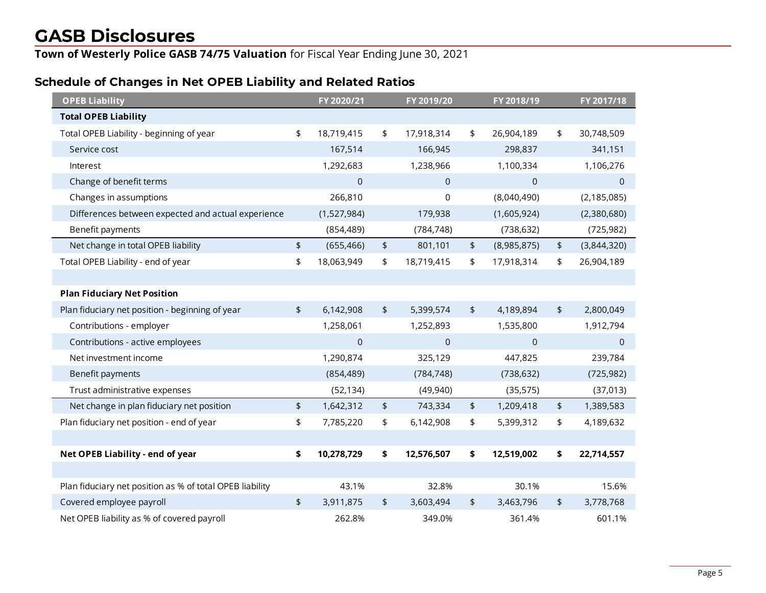**Town of Westerly Police GASB 74/75 Valuation** for Fiscal Year Ending June 30, 2021

### **Schedule of Changes in Net OPEB Liability and Related Ratios**

| <b>OPEB Liability</b>                                    | FY 2020/21       |                | FY 2019/20     |               | FY 2018/19     | FY 2017/18        |
|----------------------------------------------------------|------------------|----------------|----------------|---------------|----------------|-------------------|
| <b>Total OPEB Liability</b>                              |                  |                |                |               |                |                   |
| Total OPEB Liability - beginning of year                 | \$<br>18,719,415 | $\updownarrow$ | 17,918,314     | \$            | 26,904,189     | \$<br>30,748,509  |
| Service cost                                             | 167,514          |                | 166,945        |               | 298,837        | 341,151           |
| Interest                                                 | 1,292,683        |                | 1,238,966      |               | 1,100,334      | 1,106,276         |
| Change of benefit terms                                  | $\mathbf 0$      |                | $\mathbf 0$    |               | $\mathbf 0$    | $\mathbf{0}$      |
| Changes in assumptions                                   | 266,810          |                | 0              |               | (8,040,490)    | (2, 185, 085)     |
| Differences between expected and actual experience       | (1,527,984)      |                | 179,938        |               | (1,605,924)    | (2,380,680)       |
| Benefit payments                                         | (854, 489)       |                | (784, 748)     |               | (738, 632)     | (725, 982)        |
| Net change in total OPEB liability                       | \$<br>(655, 466) | \$             | 801,101        | \$            | (8,985,875)    | \$<br>(3,844,320) |
| Total OPEB Liability - end of year                       | \$<br>18,063,949 | \$             | 18,719,415     | \$            | 17,918,314     | \$<br>26,904,189  |
|                                                          |                  |                |                |               |                |                   |
| <b>Plan Fiduciary Net Position</b>                       |                  |                |                |               |                |                   |
| Plan fiduciary net position - beginning of year          | \$<br>6,142,908  | \$             | 5,399,574      | $\frac{1}{2}$ | 4,189,894      | \$<br>2,800,049   |
| Contributions - employer                                 | 1,258,061        |                | 1,252,893      |               | 1,535,800      | 1,912,794         |
| Contributions - active employees                         | $\mathbf 0$      |                | $\overline{0}$ |               | $\overline{0}$ | $\mathbf 0$       |
| Net investment income                                    | 1,290,874        |                | 325,129        |               | 447,825        | 239,784           |
| Benefit payments                                         | (854, 489)       |                | (784, 748)     |               | (738, 632)     | (725, 982)        |
| Trust administrative expenses                            | (52, 134)        |                | (49, 940)      |               | (35, 575)      | (37, 013)         |
| Net change in plan fiduciary net position                | \$<br>1,642,312  | \$             | 743,334        | \$            | 1,209,418      | \$<br>1,389,583   |
| Plan fiduciary net position - end of year                | \$<br>7,785,220  | \$             | 6,142,908      | \$            | 5,399,312      | \$<br>4,189,632   |
|                                                          |                  |                |                |               |                |                   |
| Net OPEB Liability - end of year                         | \$<br>10,278,729 | \$             | 12,576,507     | \$            | 12,519,002     | \$<br>22,714,557  |
|                                                          |                  |                |                |               |                |                   |
| Plan fiduciary net position as % of total OPEB liability | 43.1%            |                | 32.8%          |               | 30.1%          | 15.6%             |
| Covered employee payroll                                 | \$<br>3,911,875  | \$             | 3,603,494      | \$            | 3,463,796      | \$<br>3,778,768   |
| Net OPEB liability as % of covered payroll               | 262.8%           |                | 349.0%         |               | 361.4%         | 601.1%            |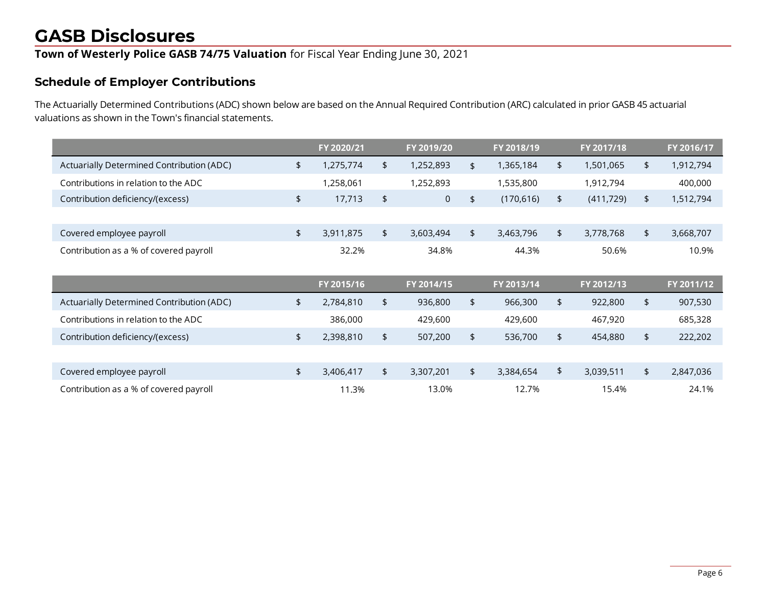**Town of Westerly Police GASB 74/75 Valuation** for Fiscal Year Ending June 30, 2021

#### **Schedule of Employer Contributions**

The Actuarially Determined Contributions (ADC) shown below are based on the Annual Required Contribution (ARC) calculated in prior GASB 45 actuarial valuations as shown in the Town's financial statements.

|                                           | FY 2020/21      |               | FY 2019/20     |               | FY 2018/19 |            | FY 2017/18 |                | FY 2016/17 |
|-------------------------------------------|-----------------|---------------|----------------|---------------|------------|------------|------------|----------------|------------|
| Actuarially Determined Contribution (ADC) | \$<br>1,275,774 | \$            | 1,252,893      | \$            | 1,365,184  | \$         | 1,501,065  | \$             | 1,912,794  |
| Contributions in relation to the ADC      | 1,258,061       |               | 1,252,893      |               | 1,535,800  |            | 1,912,794  |                | 400,000    |
| Contribution deficiency/(excess)          | \$<br>17,713    | \$            | $\overline{0}$ | $\frac{1}{2}$ | (170, 616) | \$         | (411, 729) | $\frac{1}{2}$  | 1,512,794  |
|                                           |                 |               |                |               |            |            |            |                |            |
| Covered employee payroll                  | \$<br>3,911,875 | $\frac{1}{2}$ | 3,603,494      | $\frac{1}{2}$ | 3,463,796  | \$         | 3,778,768  | $\frac{1}{2}$  | 3,668,707  |
| Contribution as a % of covered payroll    | 32.2%           |               | 34.8%          |               | 44.3%      |            | 50.6%      |                | 10.9%      |
|                                           |                 |               |                |               |            |            |            |                |            |
|                                           | FY 2015/16      |               | FY 2014/15     |               | FY 2013/14 |            | FY 2012/13 |                | FY 2011/12 |
| Actuarially Determined Contribution (ADC) | \$<br>2,784,810 | $\frac{1}{2}$ | 936,800        | $\frac{1}{2}$ | 966,300    | $\sqrt{2}$ | 922,800    | $\frac{1}{2}$  | 907,530    |
| Contributions in relation to the ADC      | 386,000         |               | 429,600        |               | 429,600    |            | 467,920    |                | 685,328    |
| Contribution deficiency/(excess)          | \$<br>2,398,810 | $\frac{1}{2}$ | 507,200        | $\frac{1}{2}$ | 536,700    | \$         | 454,880    | $\updownarrow$ | 222,202    |
|                                           |                 |               |                |               |            |            |            |                |            |
| Covered employee payroll                  | \$<br>3,406,417 | \$            | 3,307,201      | \$            | 3,384,654  | \$         | 3,039,511  | $\sqrt{2}$     | 2,847,036  |
|                                           |                 |               |                |               |            |            |            |                |            |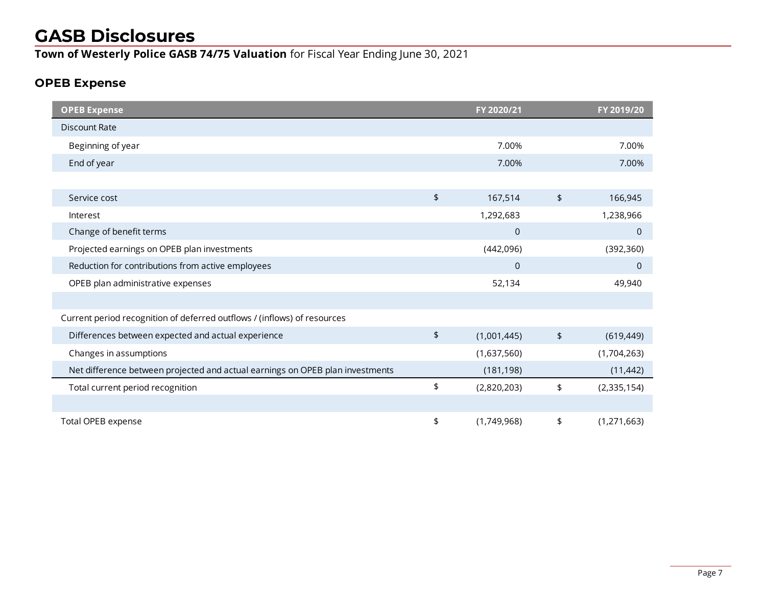**Town of Westerly Police GASB 74/75 Valuation** for Fiscal Year Ending June 30, 2021

### **OPEB Expense**

| <b>OPEB Expense</b>                                                           |                      | FY 2020/21     |                | FY 2019/20   |
|-------------------------------------------------------------------------------|----------------------|----------------|----------------|--------------|
| <b>Discount Rate</b>                                                          |                      |                |                |              |
| Beginning of year                                                             |                      | 7.00%          |                | 7.00%        |
| End of year                                                                   |                      | 7.00%          |                | 7.00%        |
|                                                                               |                      |                |                |              |
| Service cost                                                                  | \$                   | 167,514        | $\updownarrow$ | 166,945      |
| Interest                                                                      |                      | 1,292,683      |                | 1,238,966    |
| Change of benefit terms                                                       |                      | $\mathbf 0$    |                | $\mathbf 0$  |
| Projected earnings on OPEB plan investments                                   |                      | (442,096)      |                | (392, 360)   |
| Reduction for contributions from active employees                             |                      | $\overline{0}$ |                | $\mathbf{0}$ |
| OPEB plan administrative expenses                                             |                      | 52,134         |                | 49,940       |
|                                                                               |                      |                |                |              |
| Current period recognition of deferred outflows / (inflows) of resources      |                      |                |                |              |
| Differences between expected and actual experience                            | \$                   | (1,001,445)    | \$             | (619, 449)   |
| Changes in assumptions                                                        |                      | (1,637,560)    |                | (1,704,263)  |
| Net difference between projected and actual earnings on OPEB plan investments |                      | (181, 198)     |                | (11, 442)    |
| Total current period recognition                                              | $\pmb{\mathfrak{p}}$ | (2,820,203)    | \$             | (2,335,154)  |
|                                                                               |                      |                |                |              |
| Total OPEB expense                                                            | \$                   | (1,749,968)    | \$             | (1,271,663)  |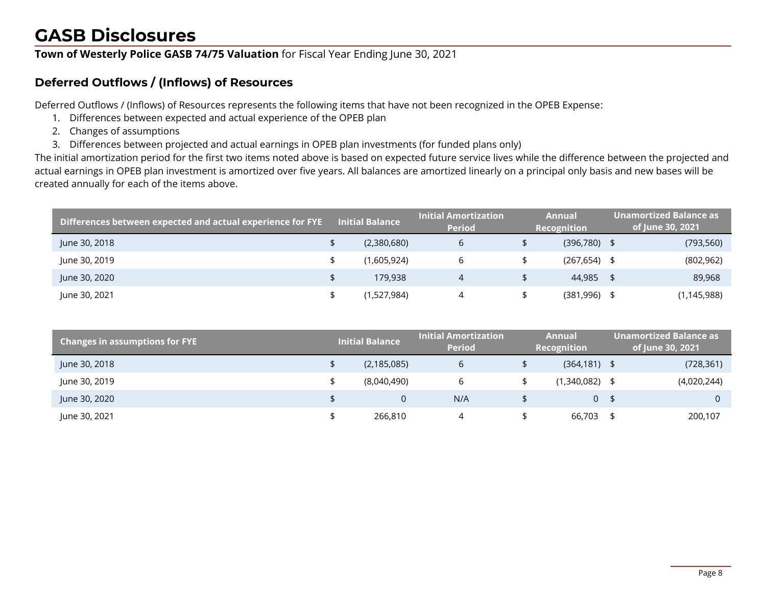**Town of Westerly Police GASB 74/75 Valuation** for Fiscal Year Ending June 30, 2021

### **Deferred Outflows / (Inflows) of Resources**

Deferred Outflows / (Inflows) of Resources represents the following items that have not been recognized in the OPEB Expense:

- 1. Differences between expected and actual experience of the OPEB plan
- 2. Changes of assumptions
- 3. Differences between projected and actual earnings in OPEB plan investments (for funded plans only)

The initial amortization period for the first two items noted above is based on expected future service lives while the difference between the projected and actual earnings in OPEB plan investment is amortized over five years. All balances are amortized linearly on a principal only basis and new bases will be created annually for each of the items above.

| Differences between expected and actual experience for FYE | <b>Initial Balance</b> | <b>Initial Amortization</b><br><b>Period</b> | Annual<br>Recognition | Unamortized Balance as <sub>l</sub><br>of June 30, 2021 |
|------------------------------------------------------------|------------------------|----------------------------------------------|-----------------------|---------------------------------------------------------|
| June 30, 2018                                              | (2,380,680)            | 6                                            | $(396,780)$ \$        | (793, 560)                                              |
| June 30, 2019                                              | (1,605,924)            | b                                            | $(267, 654)$ \$       | (802, 962)                                              |
| June 30, 2020                                              | 179.938                |                                              | 44.985 \$             | 89,968                                                  |
| June 30, 2021                                              | (1,527,984)            |                                              | $(381,996)$ \$        | (1, 145, 988)                                           |

| <b>Changes in assumptions for FYE</b> | Initial Balance $^\mathrm{!}$ | <b>Initial Amortization</b><br><b>Period</b> | Annual<br>Recognition | Unamortized Balance as<br>of June 30, 2021 |
|---------------------------------------|-------------------------------|----------------------------------------------|-----------------------|--------------------------------------------|
| June 30, 2018                         | (2, 185, 085)                 | 6                                            | $(364, 181)$ \$       | (728, 361)                                 |
| June 30, 2019                         | (8,040,490)                   | 6                                            | $(1,340,082)$ \$      | (4,020,244)                                |
| June 30, 2020                         | $\Omega$                      | N/A                                          | 0 <sup>5</sup>        |                                            |
| June 30, 2021                         | 266,810                       |                                              | 66,703 \$             | 200,107                                    |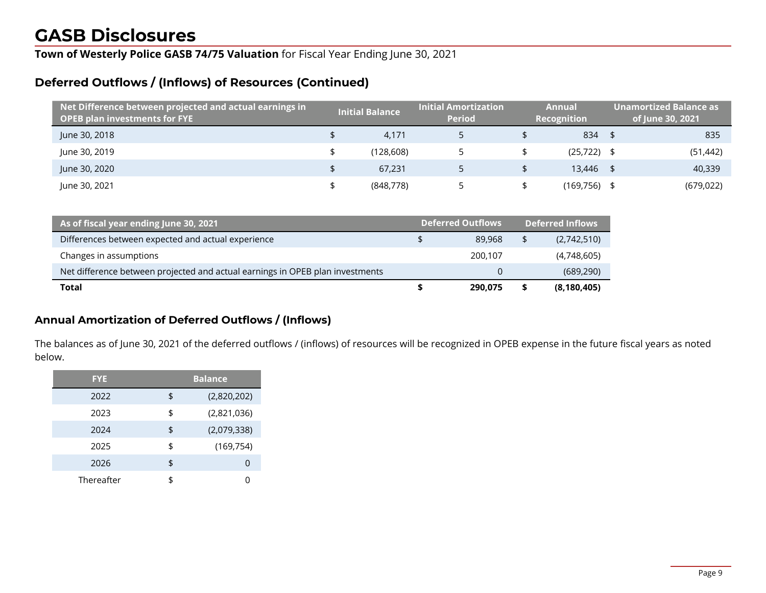**Town of Westerly Police GASB 74/75 Valuation** for Fiscal Year Ending June 30, 2021

#### **Deferred Outflows / (Inflows) of Resources (Continued)**

| Net Difference between projected and actual earnings in $^{\dagger}$<br><b>OPEB plan investments for FYE</b> | <b>Initial Balance</b> | <b>Initial Amortization</b><br><b>Period</b> | <b>Annual</b><br><b>Recognition</b> | <b>Unamortized Balance as</b><br>of June 30, 2021 |
|--------------------------------------------------------------------------------------------------------------|------------------------|----------------------------------------------|-------------------------------------|---------------------------------------------------|
| June 30, 2018                                                                                                | 4.171                  |                                              | $834$ \$                            | 835                                               |
| June 30, 2019                                                                                                | (128.608)              |                                              | $(25, 722)$ \$                      | (51, 442)                                         |
| June 30, 2020                                                                                                | 67.231                 |                                              | 13.446 \$                           | 40,339                                            |
| June 30, 2021                                                                                                | (848, 778)             |                                              | $(169,756)$ \$                      | (679, 022)                                        |

| As of fiscal year ending June 30, 2021                                        | <b>Deferred Outflows</b> | <b>Deferred Inflows</b> |
|-------------------------------------------------------------------------------|--------------------------|-------------------------|
| Differences between expected and actual experience                            | 89,968                   | (2,742,510)             |
| Changes in assumptions                                                        | 200.107                  | (4,748,605)             |
| Net difference between projected and actual earnings in OPEB plan investments |                          | (689, 290)              |
| Total                                                                         | 290.075                  | (8, 180, 405)           |

#### **Annual Amortization of Deferred Outflows / (Inflows)**

The balances as of June 30, 2021 of the deferred outflows / (inflows) of resources will be recognized in OPEB expense in the future fiscal years as noted below.

| <b>FYE</b> | <b>Balance</b> |              |  |  |  |  |
|------------|----------------|--------------|--|--|--|--|
| 2022       | \$             | (2,820,202)  |  |  |  |  |
| 2023       | \$             | (2,821,036)  |  |  |  |  |
| 2024       | \$             | (2,079,338)  |  |  |  |  |
| 2025       | \$             | (169, 754)   |  |  |  |  |
| 2026       | \$             | $\mathbf{O}$ |  |  |  |  |
| Thereafter |                |              |  |  |  |  |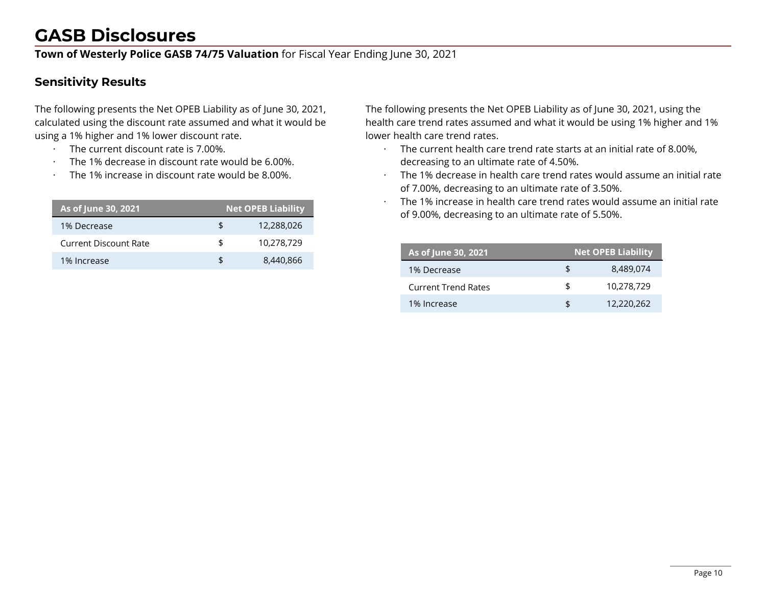**Town of Westerly Police GASB 74/75 Valuation** for Fiscal Year Ending June 30, 2021

#### **Sensitivity Results**

The following presents the Net OPEB Liability as of June 30, 2021, calculated using the discount rate assumed and what it would be using a 1% higher and 1% lower discount rate.

- · The current discount rate is 7.00%.
- The 1% decrease in discount rate would be 6.00%.
- The 1% increase in discount rate would be 8,00%.

| As of June 30, 2021   |    | <b>Net OPEB Liability</b> |
|-----------------------|----|---------------------------|
| 1% Decrease           | £  | 12,288,026                |
| Current Discount Rate | \$ | 10,278,729                |
| 1% Increase           | \$ | 8,440,866                 |

The following presents the Net OPEB Liability as of June 30, 2021, using the health care trend rates assumed and what it would be using 1% higher and 1% lower health care trend rates.

- · The current health care trend rate starts at an initial rate of 8.00%, decreasing to an ultimate rate of 4.50%.
- · The 1% decrease in health care trend rates would assume an initial rate of 7.00%, decreasing to an ultimate rate of 3.50%.
- · The 1% increase in health care trend rates would assume an initial rate of 9.00%, decreasing to an ultimate rate of 5.50%.

| As of June 30, 2021        | <b>Net OPEB Liability</b> |            |  |  |  |  |
|----------------------------|---------------------------|------------|--|--|--|--|
| 1% Decrease                |                           | 8.489.074  |  |  |  |  |
| <b>Current Trend Rates</b> | \$                        | 10,278,729 |  |  |  |  |
| 1% Increase                | SS.                       | 12,220,262 |  |  |  |  |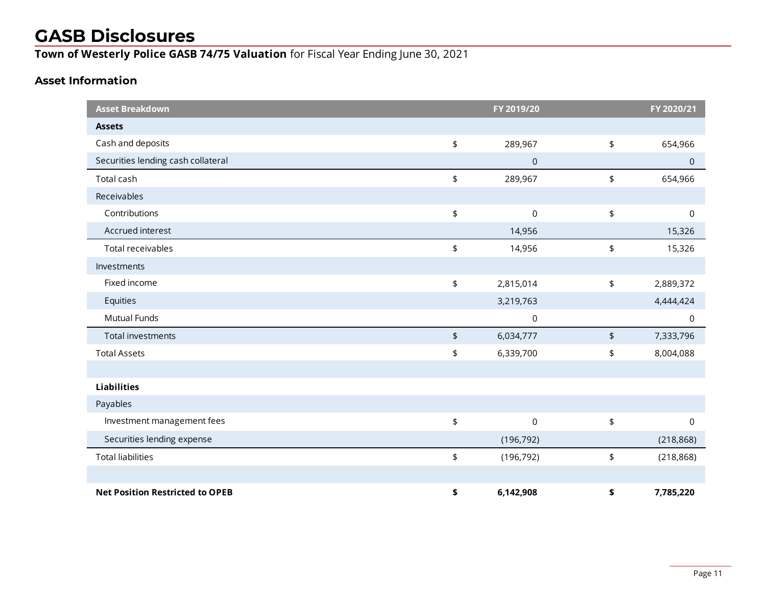**Town of Westerly Police GASB 74/75 Valuation** for Fiscal Year Ending June 30, 2021

#### **Asset Information**

| <b>Asset Breakdown</b>                 |                       | FY 2019/20          |                      | FY 2020/21  |
|----------------------------------------|-----------------------|---------------------|----------------------|-------------|
| <b>Assets</b>                          |                       |                     |                      |             |
| Cash and deposits                      | \$                    | 289,967             | \$                   | 654,966     |
| Securities lending cash collateral     |                       | $\mathsf{O}\xspace$ |                      | $\mathbf 0$ |
| Total cash                             | \$                    | 289,967             | \$                   | 654,966     |
| Receivables                            |                       |                     |                      |             |
| Contributions                          | \$                    | 0                   | \$                   | $\mathbf 0$ |
| Accrued interest                       |                       | 14,956              |                      | 15,326      |
| Total receivables                      | \$                    | 14,956              | \$                   | 15,326      |
| Investments                            |                       |                     |                      |             |
| Fixed income                           | $\pmb{\mathfrak{\$}}$ | 2,815,014           | \$                   | 2,889,372   |
| Equities                               |                       | 3,219,763           |                      | 4,444,424   |
| Mutual Funds                           |                       | $\mathsf 0$         |                      | $\mathsf 0$ |
| Total investments                      | $\pmb{\mathfrak{\$}}$ | 6,034,777           | $\pmb{\mathfrak{p}}$ | 7,333,796   |
| <b>Total Assets</b>                    | \$                    | 6,339,700           | \$                   | 8,004,088   |
|                                        |                       |                     |                      |             |
| <b>Liabilities</b>                     |                       |                     |                      |             |
| Payables                               |                       |                     |                      |             |
| Investment management fees             | \$                    | $\boldsymbol{0}$    | \$                   | $\mathsf 0$ |
| Securities lending expense             |                       | (196, 792)          |                      | (218, 868)  |
| <b>Total liabilities</b>               | \$                    | (196, 792)          | \$                   | (218, 868)  |
|                                        |                       |                     |                      |             |
| <b>Net Position Restricted to OPEB</b> | \$                    | 6,142,908           | \$                   | 7,785,220   |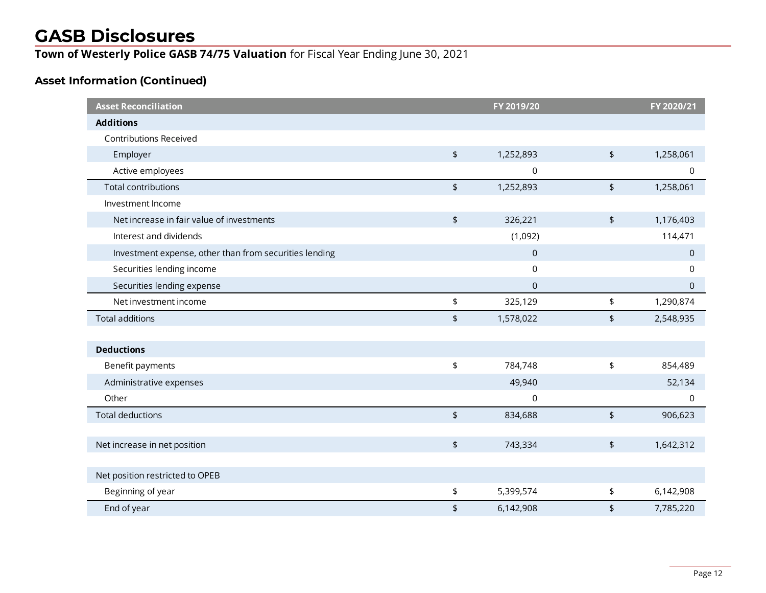**Town of Westerly Police GASB 74/75 Valuation** for Fiscal Year Ending June 30, 2021

### **Asset Information (Continued)**

| <b>Asset Reconciliation</b>                            |                                 | FY 2019/20     |                          | FY 2020/21  |
|--------------------------------------------------------|---------------------------------|----------------|--------------------------|-------------|
| <b>Additions</b>                                       |                                 |                |                          |             |
| <b>Contributions Received</b>                          |                                 |                |                          |             |
| Employer                                               | $\pmb{\mathfrak{\zeta}}$        | 1,252,893      | $\updownarrow$           | 1,258,061   |
| Active employees                                       |                                 | 0              |                          | 0           |
| <b>Total contributions</b>                             | $\pmb{\mathfrak{\zeta}}$        | 1,252,893      | $\pmb{\mathsf{\$}}$      | 1,258,061   |
| Investment Income                                      |                                 |                |                          |             |
| Net increase in fair value of investments              | $\pmb{\mathfrak{\zeta}}$        | 326,221        | $\pmb{\mathfrak{\zeta}}$ | 1,176,403   |
| Interest and dividends                                 |                                 | (1,092)        |                          | 114,471     |
| Investment expense, other than from securities lending |                                 | $\overline{0}$ |                          | $\mathbf 0$ |
| Securities lending income                              |                                 | 0              |                          | 0           |
| Securities lending expense                             |                                 | 0              |                          | $\mathbf 0$ |
| Net investment income                                  | \$                              | 325,129        | \$                       | 1,290,874   |
| <b>Total additions</b>                                 | \$                              | 1,578,022      | \$                       | 2,548,935   |
|                                                        |                                 |                |                          |             |
| <b>Deductions</b>                                      |                                 |                |                          |             |
| Benefit payments                                       | \$                              | 784,748        | \$                       | 854,489     |
| Administrative expenses                                |                                 | 49,940         |                          | 52,134      |
| Other                                                  |                                 | $\mathbf 0$    |                          | 0           |
| <b>Total deductions</b>                                | $\frac{1}{2}$                   | 834,688        | $\frac{1}{2}$            | 906,623     |
|                                                        |                                 |                |                          |             |
| Net increase in net position                           | $\pmb{\mathfrak{\zeta}}$        | 743,334        | $\updownarrow$           | 1,642,312   |
|                                                        |                                 |                |                          |             |
| Net position restricted to OPEB                        |                                 |                |                          |             |
| Beginning of year                                      | \$                              | 5,399,574      | \$                       | 6,142,908   |
| End of year                                            | $\pmb{\mathfrak{\mathfrak{p}}}$ | 6,142,908      | \$                       | 7,785,220   |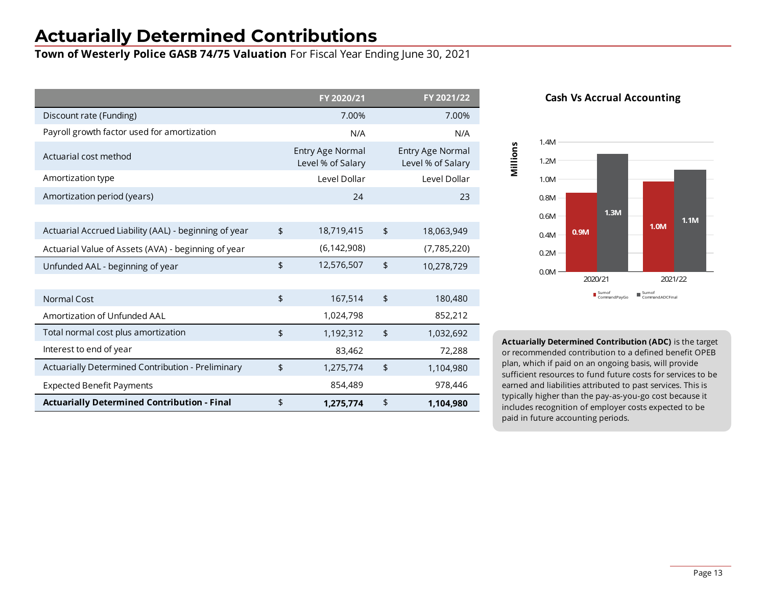## **Actuarially Determined Contributions**

**Town of Westerly Police GASB 74/75 Valuation** For Fiscal Year Ending June 30, 2021

|                                                       | FY 2020/21                            | FY 2021/22                                   |
|-------------------------------------------------------|---------------------------------------|----------------------------------------------|
| Discount rate (Funding)                               | 7.00%                                 | 7.00%                                        |
| Payroll growth factor used for amortization           | N/A                                   | N/A                                          |
| Actuarial cost method                                 | Entry Age Normal<br>Level % of Salary | <b>Entry Age Normal</b><br>Level % of Salary |
| Amortization type                                     | Level Dollar                          | Level Dollar                                 |
| Amortization period (years)                           | 24                                    | 23                                           |
|                                                       |                                       |                                              |
| Actuarial Accrued Liability (AAL) - beginning of year | \$<br>18,719,415                      | \$<br>18,063,949                             |
| Actuarial Value of Assets (AVA) - beginning of year   | (6, 142, 908)                         | (7,785,220)                                  |
| Unfunded AAL - beginning of year                      | \$<br>12,576,507                      | \$<br>10,278,729                             |
|                                                       |                                       |                                              |
| Normal Cost                                           | \$<br>167,514                         | \$<br>180,480                                |
| Amortization of Unfunded AAL                          | 1,024,798                             | 852,212                                      |
| Total normal cost plus amortization                   | \$<br>1,192,312                       | \$<br>1,032,692                              |
| Interest to end of year                               | 83,462                                | 72,288                                       |
| Actuarially Determined Contribution - Preliminary     | \$<br>1,275,774                       | \$<br>1,104,980                              |
| <b>Expected Benefit Payments</b>                      | 854,489                               | 978,446                                      |
| <b>Actuarially Determined Contribution - Final</b>    | \$<br>1,275,774                       | \$<br>1,104,980                              |





**Actuarially Determined Contribution (ADC)** is the target or recommended contribution to a defined benefit OPEB plan, which if paid on an ongoing basis, will provide sufficient resources to fund future costs for services to be earned and liabilities attributed to past services. This is typically higher than the pay-as-you-go cost because it includes recognition of employer costs expected to be paid in future accounting periods.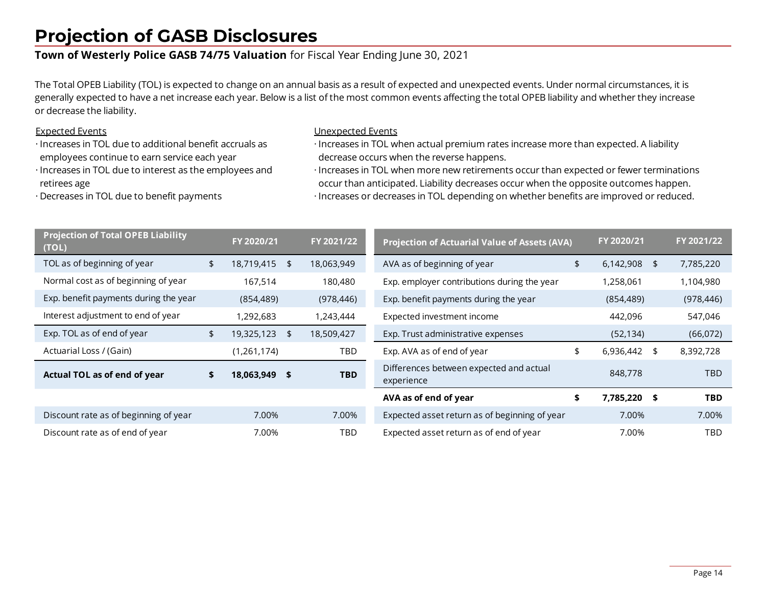### **Projection of GASB Disclosures**

#### **Town of Westerly Police GASB 74/75 Valuation** for Fiscal Year Ending June 30, 2021

The Total OPEB Liability (TOL) is expected to change on an annual basis as a result of expected and unexpected events. Under normal circumstances, it is generally expected to have a net increase each year. Below is a list of the most common events affecting the total OPEB liability and whether they increase or decrease the liability.

#### Expected Events

- · Increases in TOL due to additional benefit accruals as employees continue to earn service each year
- · Increases in TOL due to interest as the employees and retirees age

· Decreases in TOL due to benefit payments

#### Unexpected Events

- · Increases in TOL when actual premium rates increase more than expected. A liability decrease occurs when the reverse happens.
- · Increases in TOL when more new retirements occur than expected or fewer terminations occur than anticipated. Liability decreases occur when the opposite outcomes happen. · Increases or decreases in TOL depending on whether benefits are improved or reduced.

| <b>Projection of Total OPEB Liability</b><br>(TOL) | FY 2020/21       | FY 2021/22       | <b>Projection of Actuarial Value of Assets (AVA)</b>  | FY 2020/21 |              | FY 2021/22 |            |
|----------------------------------------------------|------------------|------------------|-------------------------------------------------------|------------|--------------|------------|------------|
| TOL as of beginning of year                        | \$<br>18,719,415 | \$<br>18,063,949 | AVA as of beginning of year                           | \$         | 6,142,908    | -\$        | 7,785,220  |
| Normal cost as of beginning of year                | 167,514          | 180,480          | Exp. employer contributions during the year           |            | 1,258,061    |            | 1,104,980  |
| Exp. benefit payments during the year              | (854, 489)       | (978, 446)       | Exp. benefit payments during the year                 |            | (854, 489)   |            | (978, 446) |
| Interest adjustment to end of year                 | 1,292,683        | 1,243,444        | Expected investment income                            |            | 442,096      |            | 547,046    |
| Exp. TOL as of end of year                         | \$<br>19,325,123 | \$<br>18,509,427 | Exp. Trust administrative expenses                    |            | (52, 134)    |            | (66,072)   |
| Actuarial Loss / (Gain)                            | (1, 261, 174)    | TBD              | Exp. AVA as of end of year                            | \$         | 6,936,442    | \$         | 8,392,728  |
| Actual TOL as of end of year                       | \$<br>18,063,949 | \$<br><b>TBD</b> | Differences between expected and actual<br>experience |            | 848,778      |            | TBD.       |
|                                                    |                  |                  | AVA as of end of year                                 | \$         | 7,785,220 \$ |            | <b>TBD</b> |
| Discount rate as of beginning of year              | 7.00%            | 7.00%            | Expected asset return as of beginning of year         |            | 7.00%        |            | 7.00%      |
| Discount rate as of end of year                    | 7.00%            | TBD              | Expected asset return as of end of year<br>7.00%      |            |              |            | TBD        |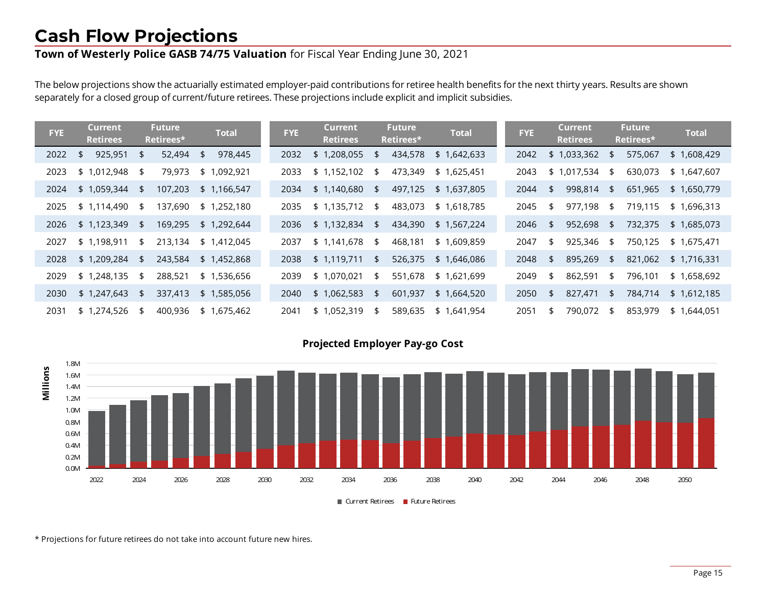## **Cash Flow Projections**

### **Town of Westerly Police GASB 74/75 Valuation** for Fiscal Year Ending June 30, 2021

The below projections show the actuarially estimated employer-paid contributions for retiree health benefits for the next thirty years. Results are shown separately for a closed group of current/future retirees. These projections include explicit and implicit subsidies.

| <b>FYE</b> | Current<br><b>Retirees</b> | <b>Future</b><br>Retirees* | <b>Total</b>  | <b>FYE</b> | <b>Current</b><br><b>Retirees</b> |      | <b>Future</b><br>Retirees* | <b>Total</b> | <b>FYE</b> | <b>Current</b><br><b>Retirees</b> |     | <b>Future</b><br>Retirees* | <b>Total</b> |
|------------|----------------------------|----------------------------|---------------|------------|-----------------------------------|------|----------------------------|--------------|------------|-----------------------------------|-----|----------------------------|--------------|
| 2022       | 925,951<br>\$              | \$<br>52,494               | 978,445<br>\$ | 2032       | 1,208,055<br>\$                   | \$   | 434,578                    | \$1,642,633  | 2042       | \$1,033,362                       | \$  | 575,067                    | \$1,608,429  |
| 2023       | \$1,012,948                | \$<br>79,973               | \$1,092,921   | 2033       | \$1,152,102                       | \$   | 473,349                    | \$1,625,451  | 2043       | \$1,017,534                       | \$  | 630,073                    | \$1,647,607  |
| 2024       | \$1,059,344                | \$<br>107,203              | \$1,166,547   | 2034       | \$1,140,680                       | - \$ | 497,125                    | \$1,637,805  | 2044       | \$<br>998,814                     | \$  | 651,965                    | \$1,650,779  |
| 2025       | \$1,114,490                | \$<br>137,690              | \$1,252,180   | 2035       | \$1,135,712                       | \$   | 483,073                    | \$1,618,785  | 2045       | \$<br>977,198                     | \$  | 719,115                    | \$1,696,313  |
| 2026       | \$1,123,349                | \$<br>169,295              | \$1,292,644   | 2036       | \$1,132,834                       | -\$  | 434,390                    | \$1,567,224  | 2046       | \$<br>952,698                     | \$. | 732,375                    | \$1,685,073  |
| 2027       | \$1,198,911                | \$<br>213,134              | \$1,412,045   | 2037       | \$1,141,678                       | - \$ | 468,181                    | \$1,609,859  | 2047       | \$<br>925,346                     | \$  | 750,125                    | \$1,675,471  |
| 2028       | \$1,209,284                | \$<br>243,584              | \$1,452,868   | 2038       | \$1,119,711                       | \$   | 526,375                    | \$1,646,086  | 2048       | \$<br>895,269                     | \$  | 821,062                    | \$1,716,331  |
| 2029       | \$1,248,135                | \$<br>288,521              | \$1,536,656   | 2039       | 1,070,021<br>\$ 1                 | \$   | 551,678                    | \$1,621,699  | 2049       | \$<br>862,591                     | \$  | 796,101                    | \$1,658,692  |
| 2030       | \$1,247,643                | \$<br>337,413              | \$1,585,056   | 2040       | \$1,062,583                       | \$   | 601,937                    | \$1,664,520  | 2050       | \$<br>827,471                     | \$  | 784,714                    | \$1,612,185  |
| 2031       | \$1,274,526                | \$<br>400,936              | \$1,675,462   | 2041       | 1,052,319<br>\$1                  | -\$  | 589,635                    | \$1,641,954  | 2051       | \$<br>790,072                     | \$  | 853,979                    | \$1,644,051  |



**Projected Employer Pay-go Cost**

\* Projections for future retirees do not take into account future new hires.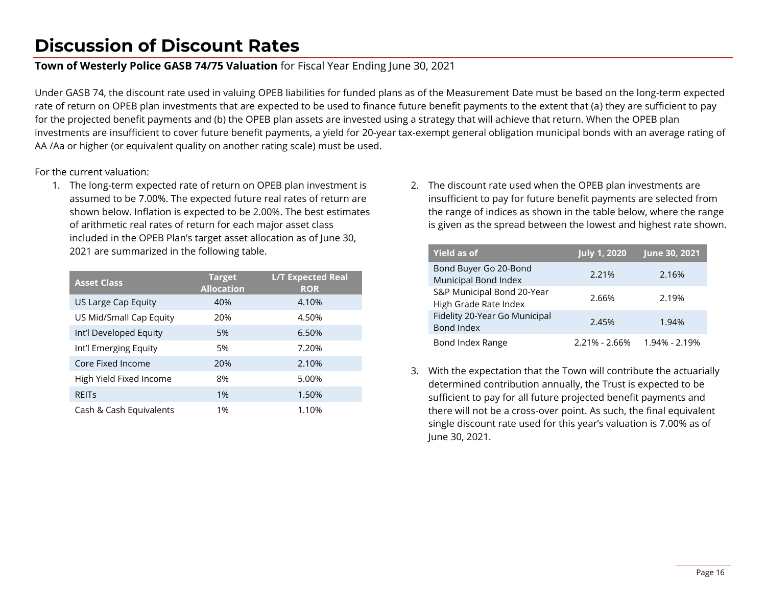### **Discussion of Discount Rates**

#### **Town of Westerly Police GASB 74/75 Valuation** for Fiscal Year Ending June 30, 2021

Under GASB 74, the discount rate used in valuing OPEB liabilities for funded plans as of the Measurement Date must be based on the long-term expected rate of return on OPEB plan investments that are expected to be used to finance future benefit payments to the extent that (a) they are sufficient to pay for the projected benefit payments and (b) the OPEB plan assets are invested using a strategy that will achieve that return. When the OPEB plan investments are insufficient to cover future benefit payments, a yield for 20-year tax-exempt general obligation municipal bonds with an average rating of AA /Aa or higher (or equivalent quality on another rating scale) must be used.

For the current valuation:

1. The long-term expected rate of return on OPEB plan investment is assumed to be 7.00%. The expected future real rates of return are shown below. Inflation is expected to be 2.00%. The best estimates of arithmetic real rates of return for each major asset class included in the OPEB Plan's target asset allocation as of June 30, 2021 are summarized in the following table.

| <b>Asset Class</b>      | <b>Target</b><br><b>Allocation</b> | <b>L/T Expected Real</b><br><b>ROR</b> |
|-------------------------|------------------------------------|----------------------------------------|
| US Large Cap Equity     | 40%                                | 4.10%                                  |
| US Mid/Small Cap Equity | 20%                                | 4.50%                                  |
| Int'l Developed Equity  | 5%                                 | 6.50%                                  |
| Int'l Emerging Equity   | 5%                                 | 7.20%                                  |
| Core Fixed Income       | 20%                                | 2.10%                                  |
| High Yield Fixed Income | 8%                                 | 5.00%                                  |
| <b>REITS</b>            | $1\%$                              | 1.50%                                  |
| Cash & Cash Equivalents | 1%                                 | 1.10%                                  |

2. The discount rate used when the OPEB plan investments are insufficient to pay for future benefit payments are selected from the range of indices as shown in the table below, where the range is given as the spread between the lowest and highest rate shown.

| <b>Yield as of</b>                                  | <b>July 1, 2020</b> | June 30, 2021 |
|-----------------------------------------------------|---------------------|---------------|
| Bond Buyer Go 20-Bond<br>Municipal Bond Index       | 2.21%               | 2.16%         |
| S&P Municipal Bond 20-Year<br>High Grade Rate Index | 2.66%               | 2.19%         |
| Fidelity 20-Year Go Municipal<br>Bond Index         | 2.45%               | 1.94%         |
| Bond Index Range                                    | $2.21\% - 2.66\%$   | 1.94% - 2.19% |

3. With the expectation that the Town will contribute the actuarially determined contribution annually, the Trust is expected to be sufficient to pay for all future projected benefit payments and there will not be a cross-over point. As such, the final equivalent single discount rate used for this year's valuation is 7.00% as of June 30, 2021.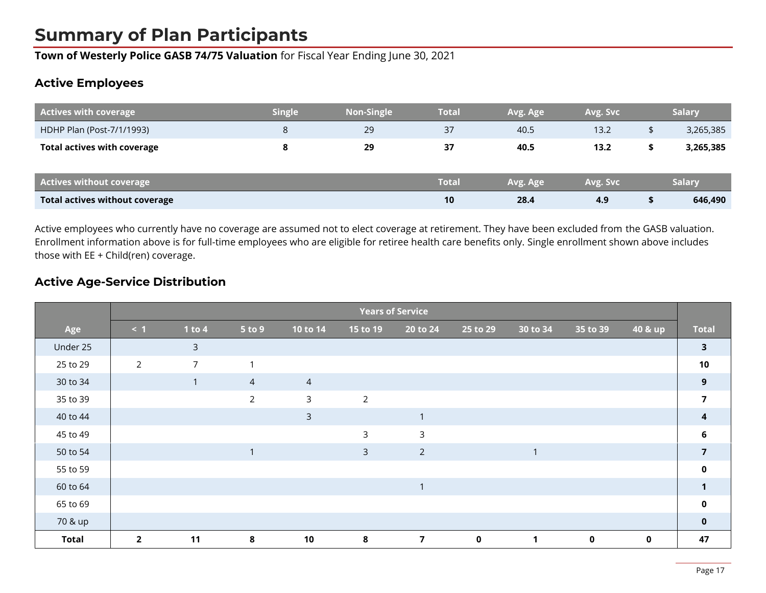### **Summary of Plan Participants**

**Town of Westerly Police GASB 74/75 Valuation** for Fiscal Year Ending June 30, 2021

#### **Active Employees**

| <b>Actives with coverage</b>          | <b>Single</b> | <b>Non-Single</b> | Total        | Avg. Age | Avg. Svc |    | <b>Salary</b> |
|---------------------------------------|---------------|-------------------|--------------|----------|----------|----|---------------|
| HDHP Plan (Post-7/1/1993)             | 8             | 29                | 37           | 40.5     | 13.2     | \$ | 3,265,385     |
| <b>Total actives with coverage</b>    |               | 29                | 37           | 40.5     | 13.2     | \$ | 3,265,385     |
| <b>Actives without coverage</b>       |               |                   | <b>Total</b> | Avg. Age | Avg. Svc |    | <b>Salary</b> |
| <b>Total actives without coverage</b> |               |                   | 10           | 28.4     | 4.9      | л  | 646,490       |

Active employees who currently have no coverage are assumed not to elect coverage at retirement. They have been excluded from the GASB valuation. Enrollment information above is for full-time employees who are eligible for retiree health care benefits only. Single enrollment shown above includes those with EE + Child(ren) coverage.

#### **Active Age-Service Distribution**

|              | <b>Years of Service</b> |                |                |                |                |                |             |                         |             |             |                         |
|--------------|-------------------------|----------------|----------------|----------------|----------------|----------------|-------------|-------------------------|-------------|-------------|-------------------------|
| Age          | $\leq 1$                | 1 to $4$       | 5 to 9         | 10 to 14       | 15 to 19       | 20 to 24       | 25 to 29    | 30 to 34                | 35 to 39    | 40 & up     | <b>Total</b>            |
| Under 25     |                         | $\mathsf{3}$   |                |                |                |                |             |                         |             |             | $\overline{\mathbf{3}}$ |
| 25 to 29     | $\overline{2}$          | $\overline{7}$ | $\mathbf 1$    |                |                |                |             |                         |             |             | 10                      |
| 30 to 34     |                         | $\mathbf{1}$   | $\overline{4}$ | $\overline{4}$ |                |                |             |                         |             |             | 9                       |
| 35 to 39     |                         |                | $\overline{2}$ | $\mathsf{3}$   | $\overline{2}$ |                |             |                         |             |             | $\overline{7}$          |
| 40 to 44     |                         |                |                | $\overline{3}$ |                | $\mathbf{1}$   |             |                         |             |             |                         |
| 45 to 49     |                         |                |                |                | 3              | $\mathsf{3}$   |             |                         |             |             | 6                       |
| 50 to 54     |                         |                | $\mathbf 1$    |                | $\mathsf{3}$   | $\overline{2}$ |             | $\mathbf{\overline{1}}$ |             |             | $\overline{7}$          |
| 55 to 59     |                         |                |                |                |                |                |             |                         |             |             | $\mathbf 0$             |
| 60 to 64     |                         |                |                |                |                | $\mathbf{1}$   |             |                         |             |             |                         |
| 65 to 69     |                         |                |                |                |                |                |             |                         |             |             | $\mathbf{0}$            |
| 70 & up      |                         |                |                |                |                |                |             |                         |             |             | $\mathbf{0}$            |
| <b>Total</b> | $\overline{2}$          | 11             | 8              | 10             | 8              | $\overline{7}$ | $\mathbf 0$ | $\mathbf{1}$            | $\mathbf 0$ | $\mathbf 0$ | 47                      |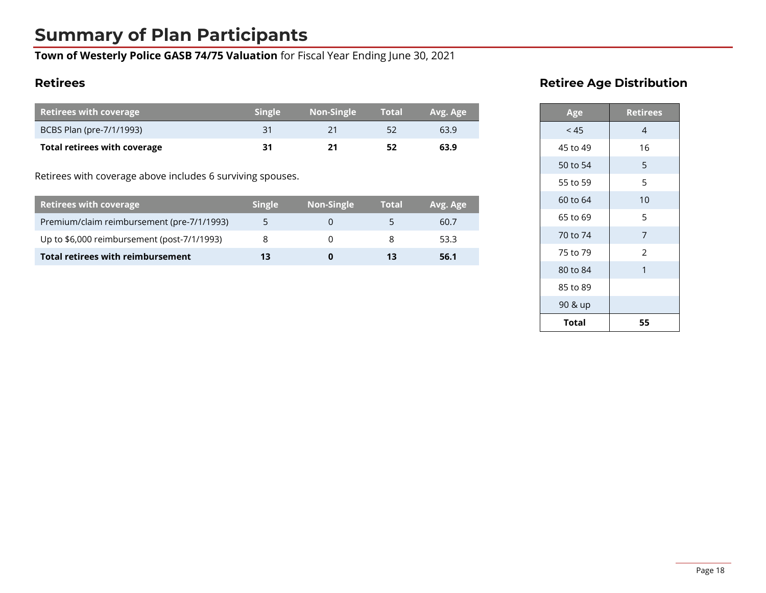### **Summary of Plan Participants**

**Town of Westerly Police GASB 74/75 Valuation** for Fiscal Year Ending June 30, 2021

#### **Retirees**

| Retirees with coverage       | <b>Single</b> | Non-Single | <b>Total</b> | Avg. Age |
|------------------------------|---------------|------------|--------------|----------|
| BCBS Plan (pre-7/1/1993)     |               |            |              | 63.9     |
| Total retirees with coverage | 31            | 21         |              | 63.9     |

Retirees with coverage above includes 6 surviving spouses.

| <b>Retirees with coverage</b>               | <b>Single</b> | Non-Single | <b>Total</b> | Avg. Age |
|---------------------------------------------|---------------|------------|--------------|----------|
| Premium/claim reimbursement (pre-7/1/1993)  |               |            |              | 60.7     |
| Up to \$6,000 reimbursement (post-7/1/1993) |               |            |              | 53.3     |
| Total retirees with reimbursement           | 13            | O          |              | 56.1     |

### **Retiree Age Distribution**

| Age      | <b>Retirees</b> |
|----------|-----------------|
| < 45     | 4               |
| 45 to 49 | 16              |
| 50 to 54 | 5               |
| 55 to 59 | 5               |
| 60 to 64 | 10              |
| 65 to 69 | 5               |
| 70 to 74 | 7               |
| 75 to 79 | 2               |
| 80 to 84 | 1               |
| 85 to 89 |                 |
| 90 & up  |                 |
| Total    | 55              |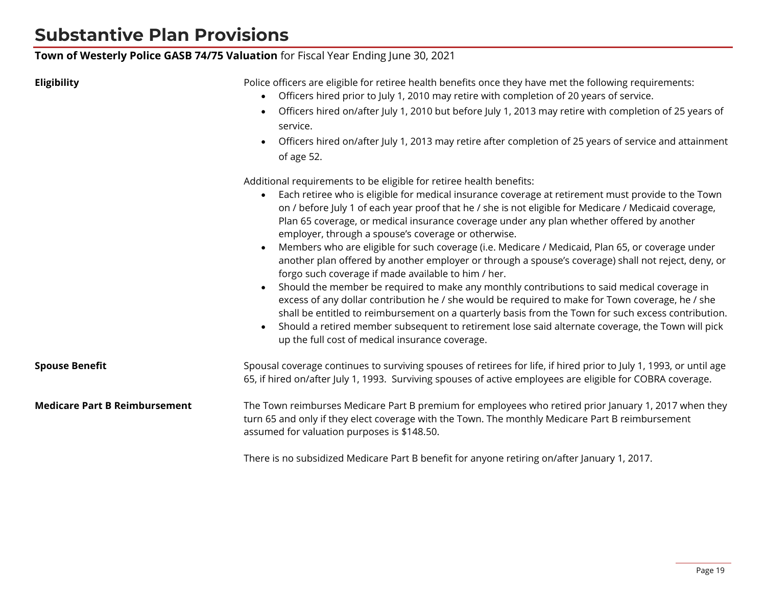### **Substantive Plan Provisions**

#### **Town of Westerly Police GASB 74/75 Valuation** for Fiscal Year Ending June 30, 2021

**Eligibility** Police officers are eligible for retiree health benefits once they have met the following requirements:

- Officers hired prior to July 1, 2010 may retire with completion of 20 years of service.
- Officers hired on/after July 1, 2010 but before July 1, 2013 may retire with completion of 25 years of service.
- Officers hired on/after July 1, 2013 may retire after completion of 25 years of service and attainment of age 52.

Additional requirements to be eligible for retiree health benefits:

- Each retiree who is eligible for medical insurance coverage at retirement must provide to the Town on / before July 1 of each year proof that he / she is not eligible for Medicare / Medicaid coverage, Plan 65 coverage, or medical insurance coverage under any plan whether offered by another employer, through a spouse's coverage or otherwise.
- Members who are eligible for such coverage (i.e. Medicare / Medicaid, Plan 65, or coverage under another plan offered by another employer or through a spouse's coverage) shall not reject, deny, or forgo such coverage if made available to him / her.
- Should the member be required to make any monthly contributions to said medical coverage in excess of any dollar contribution he / she would be required to make for Town coverage, he / she shall be entitled to reimbursement on a quarterly basis from the Town for such excess contribution.
- Should a retired member subsequent to retirement lose said alternate coverage, the Town will pick up the full cost of medical insurance coverage.

| <b>Spouse Benefit</b>                | Spousal coverage continues to surviving spouses of retirees for life, if hired prior to July 1, 1993, or until age<br>65, if hired on/after July 1, 1993. Surviving spouses of active employees are eligible for COBRA coverage.                         |
|--------------------------------------|----------------------------------------------------------------------------------------------------------------------------------------------------------------------------------------------------------------------------------------------------------|
| <b>Medicare Part B Reimbursement</b> | The Town reimburses Medicare Part B premium for employees who retired prior January 1, 2017 when they<br>turn 65 and only if they elect coverage with the Town. The monthly Medicare Part B reimbursement<br>assumed for valuation purposes is \$148.50. |

There is no subsidized Medicare Part B benefit for anyone retiring on/after January 1, 2017.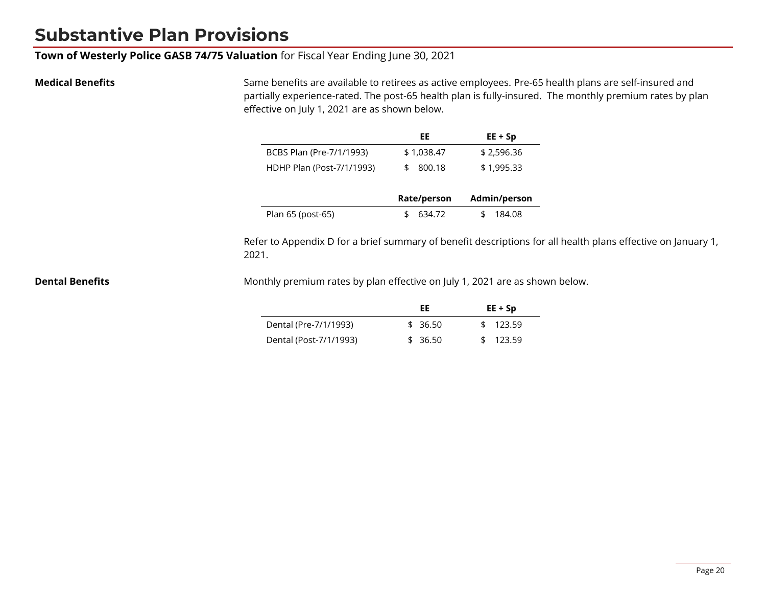### **Substantive Plan Provisions**

**Town of Westerly Police GASB 74/75 Valuation** for Fiscal Year Ending June 30, 2021

**Medical Benefits** Same benefits are available to retirees as active employees. Pre-65 health plans are self-insured and partially experience-rated. The post-65 health plan is fully-insured. The monthly premium rates by plan effective on July 1, 2021 are as shown below.

|                           | EE           | $EE + Sp$    |
|---------------------------|--------------|--------------|
| BCBS Plan (Pre-7/1/1993)  | \$1,038.47   | \$2,596.36   |
| HDHP Plan (Post-7/1/1993) | 800.18<br>£. | \$1,995.33   |
|                           |              |              |
|                           | Rate/person  | Admin/person |
| Plan 65 (post-65)         | 634.72       | 184.08       |

Refer to Appendix D for a brief summary of benefit descriptions for all health plans effective on January 1, 2021.

**Dental Benefits** Monthly premium rates by plan effective on July 1, 2021 are as shown below.

|                        | FF      | $EE + Sp$ |
|------------------------|---------|-----------|
| Dental (Pre-7/1/1993)  | \$36.50 | \$123.59  |
| Dental (Post-7/1/1993) | \$36.50 | \$123.59  |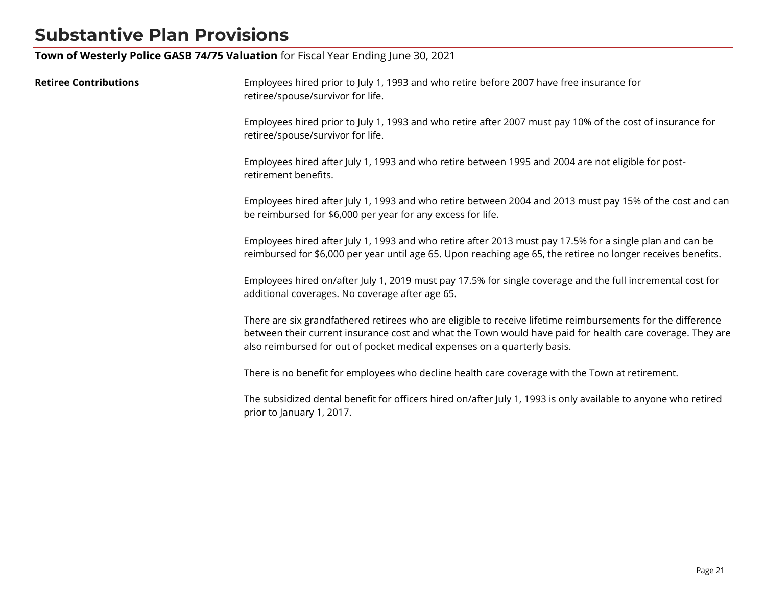### **Substantive Plan Provisions**

**Town of Westerly Police GASB 74/75 Valuation** for Fiscal Year Ending June 30, 2021

| <b>Retiree Contributions</b> | Employees hired prior to July 1, 1993 and who retire before 2007 have free insurance for<br>retiree/spouse/survivor for life.                                                                                                                                                                        |
|------------------------------|------------------------------------------------------------------------------------------------------------------------------------------------------------------------------------------------------------------------------------------------------------------------------------------------------|
|                              | Employees hired prior to July 1, 1993 and who retire after 2007 must pay 10% of the cost of insurance for<br>retiree/spouse/survivor for life.                                                                                                                                                       |
|                              | Employees hired after July 1, 1993 and who retire between 1995 and 2004 are not eligible for post-<br>retirement benefits.                                                                                                                                                                           |
|                              | Employees hired after July 1, 1993 and who retire between 2004 and 2013 must pay 15% of the cost and can<br>be reimbursed for \$6,000 per year for any excess for life.                                                                                                                              |
|                              | Employees hired after July 1, 1993 and who retire after 2013 must pay 17.5% for a single plan and can be<br>reimbursed for \$6,000 per year until age 65. Upon reaching age 65, the retiree no longer receives benefits.                                                                             |
|                              | Employees hired on/after July 1, 2019 must pay 17.5% for single coverage and the full incremental cost for<br>additional coverages. No coverage after age 65.                                                                                                                                        |
|                              | There are six grandfathered retirees who are eligible to receive lifetime reimbursements for the difference<br>between their current insurance cost and what the Town would have paid for health care coverage. They are<br>also reimbursed for out of pocket medical expenses on a quarterly basis. |
|                              | There is no benefit for employees who decline health care coverage with the Town at retirement.                                                                                                                                                                                                      |
|                              | The subsidized dental benefit for officers hired on/after July 1, 1993 is only available to anyone who retired<br>prior to January 1, 2017.                                                                                                                                                          |
|                              |                                                                                                                                                                                                                                                                                                      |
|                              |                                                                                                                                                                                                                                                                                                      |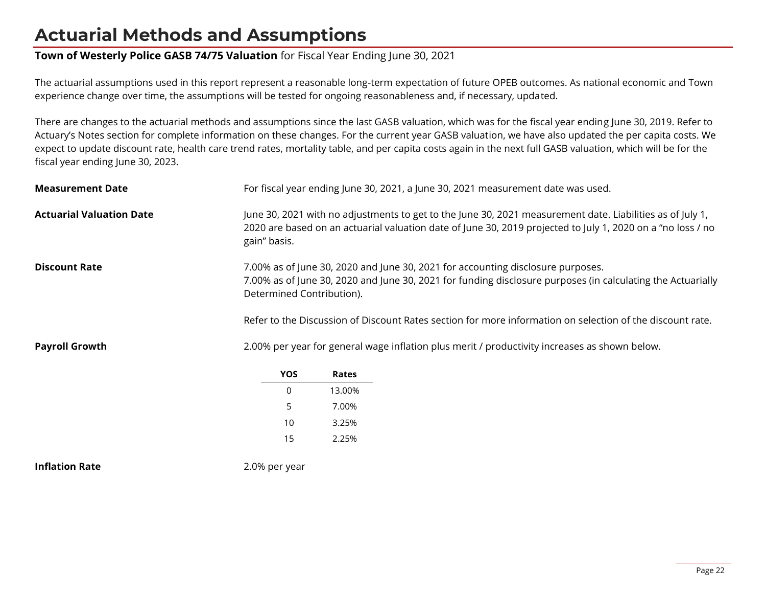#### **Town of Westerly Police GASB 74/75 Valuation** for Fiscal Year Ending June 30, 2021

The actuarial assumptions used in this report represent a reasonable long-term expectation of future OPEB outcomes. As national economic and Town experience change over time, the assumptions will be tested for ongoing reasonableness and, if necessary, updated.

There are changes to the actuarial methods and assumptions since the last GASB valuation, which was for the fiscal year ending June 30, 2019. Refer to Actuary's Notes section for complete information on these changes. For the current year GASB valuation, we have also updated the per capita costs. We expect to update discount rate, health care trend rates, mortality table, and per capita costs again in the next full GASB valuation, which will be for the fiscal year ending June 30, 2023.

| <b>Measurement Date</b>         |                                                                                                                                                                                                                                                                                                                                          |        | For fiscal year ending June 30, 2021, a June 30, 2021 measurement date was used. |
|---------------------------------|------------------------------------------------------------------------------------------------------------------------------------------------------------------------------------------------------------------------------------------------------------------------------------------------------------------------------------------|--------|----------------------------------------------------------------------------------|
| <b>Actuarial Valuation Date</b> | June 30, 2021 with no adjustments to get to the June 30, 2021 measurement date. Liabilities as of July 1,<br>2020 are based on an actuarial valuation date of June 30, 2019 projected to July 1, 2020 on a "no loss / no<br>gain" basis.                                                                                                 |        |                                                                                  |
| <b>Discount Rate</b>            | 7.00% as of June 30, 2020 and June 30, 2021 for accounting disclosure purposes.<br>7.00% as of June 30, 2020 and June 30, 2021 for funding disclosure purposes (in calculating the Actuarially<br>Determined Contribution).<br>Refer to the Discussion of Discount Rates section for more information on selection of the discount rate. |        |                                                                                  |
| <b>Payroll Growth</b>           | 2.00% per year for general wage inflation plus merit / productivity increases as shown below.                                                                                                                                                                                                                                            |        |                                                                                  |
|                                 | <b>YOS</b>                                                                                                                                                                                                                                                                                                                               | Rates  |                                                                                  |
|                                 | 0                                                                                                                                                                                                                                                                                                                                        | 13.00% |                                                                                  |
|                                 | 5                                                                                                                                                                                                                                                                                                                                        | 7.00%  |                                                                                  |
|                                 | 10                                                                                                                                                                                                                                                                                                                                       | 3.25%  |                                                                                  |
|                                 | 15                                                                                                                                                                                                                                                                                                                                       | 2.25%  |                                                                                  |
| <b>Inflation Rate</b>           | 2.0% per year                                                                                                                                                                                                                                                                                                                            |        |                                                                                  |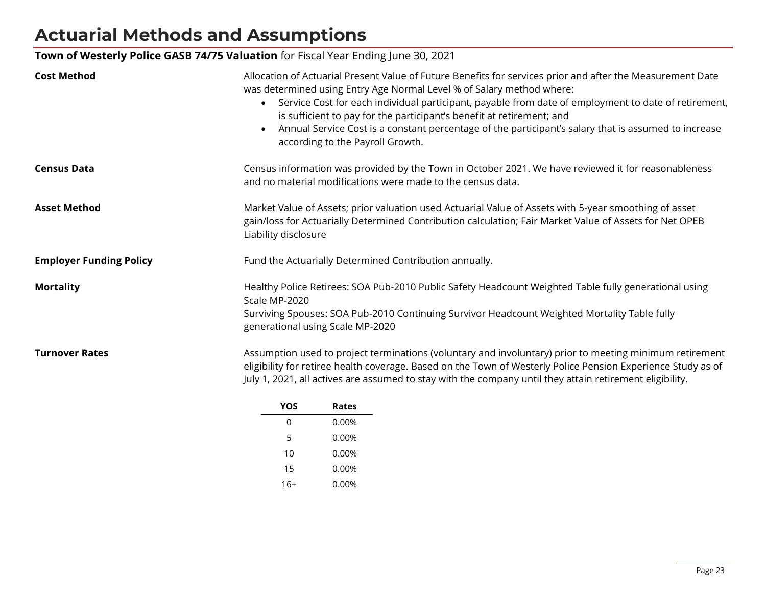### **Town of Westerly Police GASB 74/75 Valuation** for Fiscal Year Ending June 30, 2021

| <b>Cost Method</b>             | Allocation of Actuarial Present Value of Future Benefits for services prior and after the Measurement Date<br>was determined using Entry Age Normal Level % of Salary method where:<br>Service Cost for each individual participant, payable from date of employment to date of retirement,<br>$\bullet$<br>is sufficient to pay for the participant's benefit at retirement; and<br>Annual Service Cost is a constant percentage of the participant's salary that is assumed to increase<br>$\bullet$<br>according to the Payroll Growth. |
|--------------------------------|--------------------------------------------------------------------------------------------------------------------------------------------------------------------------------------------------------------------------------------------------------------------------------------------------------------------------------------------------------------------------------------------------------------------------------------------------------------------------------------------------------------------------------------------|
| <b>Census Data</b>             | Census information was provided by the Town in October 2021. We have reviewed it for reasonableness<br>and no material modifications were made to the census data.                                                                                                                                                                                                                                                                                                                                                                         |
| <b>Asset Method</b>            | Market Value of Assets; prior valuation used Actuarial Value of Assets with 5-year smoothing of asset<br>gain/loss for Actuarially Determined Contribution calculation; Fair Market Value of Assets for Net OPEB<br>Liability disclosure                                                                                                                                                                                                                                                                                                   |
| <b>Employer Funding Policy</b> | Fund the Actuarially Determined Contribution annually.                                                                                                                                                                                                                                                                                                                                                                                                                                                                                     |
| <b>Mortality</b>               | Healthy Police Retirees: SOA Pub-2010 Public Safety Headcount Weighted Table fully generational using<br>Scale MP-2020<br>Surviving Spouses: SOA Pub-2010 Continuing Survivor Headcount Weighted Mortality Table fully<br>generational using Scale MP-2020                                                                                                                                                                                                                                                                                 |
| <b>Turnover Rates</b>          | Assumption used to project terminations (voluntary and involuntary) prior to meeting minimum retirement<br>eligibility for retiree health coverage. Based on the Town of Westerly Police Pension Experience Study as of<br>July 1, 2021, all actives are assumed to stay with the company until they attain retirement eligibility.                                                                                                                                                                                                        |

| YOS   | Rates |
|-------|-------|
| 0     | 0.00% |
| 5     | 0.00% |
| 10    | 0.00% |
| 15    | 0.00% |
| $16+$ | 0.00% |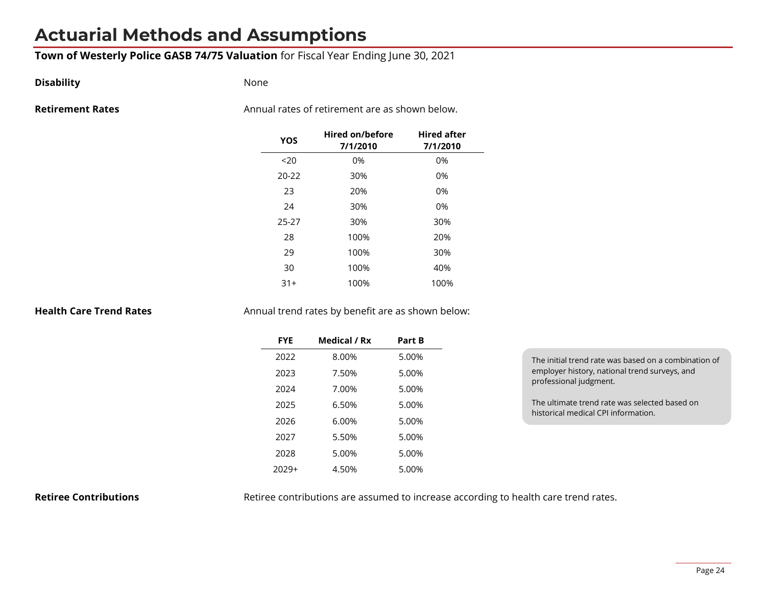#### **Town of Westerly Police GASB 74/75 Valuation** for Fiscal Year Ending June 30, 2021

#### **Disability** None

**Retirement Rates Retirement Rates Annual rates of retirement are as shown below.** 

| YOS       | Hired on/before<br>7/1/2010 | <b>Hired after</b><br>7/1/2010 |
|-----------|-----------------------------|--------------------------------|
| 20        | 0%                          | 0%                             |
| $20 - 22$ | 30%                         | 0%                             |
| 23        | 20%                         | 0%                             |
| 24        | 30%                         | 0%                             |
| 25-27     | 30%                         | 30%                            |
| 28        | 100%                        | 20%                            |
| 29        | 100%                        | 30%                            |
| 30        | 100%                        | 40%                            |
| $31+$     | 100%                        | 100%                           |

**Health Care Trend Rates** Annual trend rates by benefit are as shown below:

| <b>FYE</b> | Medical / Rx | Part B |
|------------|--------------|--------|
| 2022       | 8.00%        | 5.00%  |
| 2023       | 7.50%        | 5.00%  |
| 2024       | 7.00%        | 5.00%  |
| 2025       | 6.50%        | 5.00%  |
| 2026       | 6.00%        | 5.00%  |
| 2027       | 5.50%        | 5.00%  |
| 2028       | 5.00%        | 5.00%  |
| 2029+      | 4.50%        | 5.00%  |

| The initial trend rate was based on a combination of |
|------------------------------------------------------|
| employer history, national trend surveys, and        |
| professional judgment.                               |
|                                                      |

The ultimate trend rate was selected based on historical medical CPI information.

**Retiree Contributions** Retiree contributions are assumed to increase according to health care trend rates.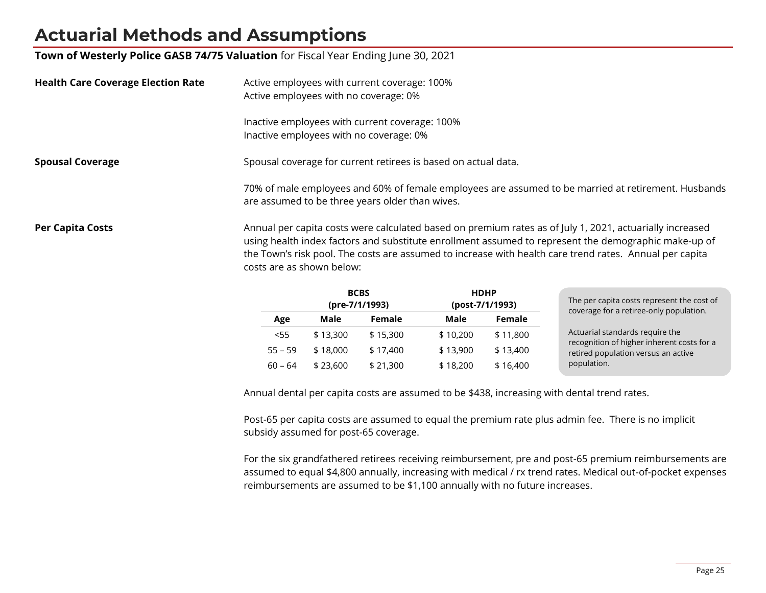**Town of Westerly Police GASB 74/75 Valuation** for Fiscal Year Ending June 30, 2021

| <b>Health Care Coverage Election Rate</b> | Active employees with current coverage: 100%<br>Active employees with no coverage: 0%                                                                                                                                                                                                                                                                    |  |
|-------------------------------------------|----------------------------------------------------------------------------------------------------------------------------------------------------------------------------------------------------------------------------------------------------------------------------------------------------------------------------------------------------------|--|
|                                           | Inactive employees with current coverage: 100%<br>Inactive employees with no coverage: 0%                                                                                                                                                                                                                                                                |  |
| <b>Spousal Coverage</b>                   | Spousal coverage for current retirees is based on actual data.                                                                                                                                                                                                                                                                                           |  |
|                                           | 70% of male employees and 60% of female employees are assumed to be married at retirement. Husbands<br>are assumed to be three years older than wives.                                                                                                                                                                                                   |  |
| <b>Per Capita Costs</b>                   | Annual per capita costs were calculated based on premium rates as of July 1, 2021, actuarially increased<br>using health index factors and substitute enrollment assumed to represent the demographic make-up of<br>the Town's risk pool. The costs are assumed to increase with health care trend rates. Annual per capita<br>costs are as shown below: |  |

|           | <b>BCBS</b><br>(pre-7/1/1993) |          | <b>HDHP</b><br>(post-7/1/1993) |          | The per capita costs represent the cost of<br>coverage for a retiree-only population. |
|-----------|-------------------------------|----------|--------------------------------|----------|---------------------------------------------------------------------------------------|
| Age       | Male                          | Female   | Male                           | Female   |                                                                                       |
| $<$ 55    | \$13,300                      | \$15,300 | \$10,200                       | \$11,800 | Actuarial standards require the                                                       |
| $55 - 59$ | \$18,000                      | \$17,400 | \$13,900                       | \$13,400 | recognition of higher inherent costs for a<br>retired population versus an active     |
| $60 - 64$ | \$23,600                      | \$21,300 | \$18,200                       | \$16,400 | population.                                                                           |

Annual dental per capita costs are assumed to be \$438, increasing with dental trend rates.

Post-65 per capita costs are assumed to equal the premium rate plus admin fee. There is no implicit subsidy assumed for post-65 coverage.

For the six grandfathered retirees receiving reimbursement, pre and post-65 premium reimbursements are assumed to equal \$4,800 annually, increasing with medical / rx trend rates. Medical out-of-pocket expenses reimbursements are assumed to be \$1,100 annually with no future increases.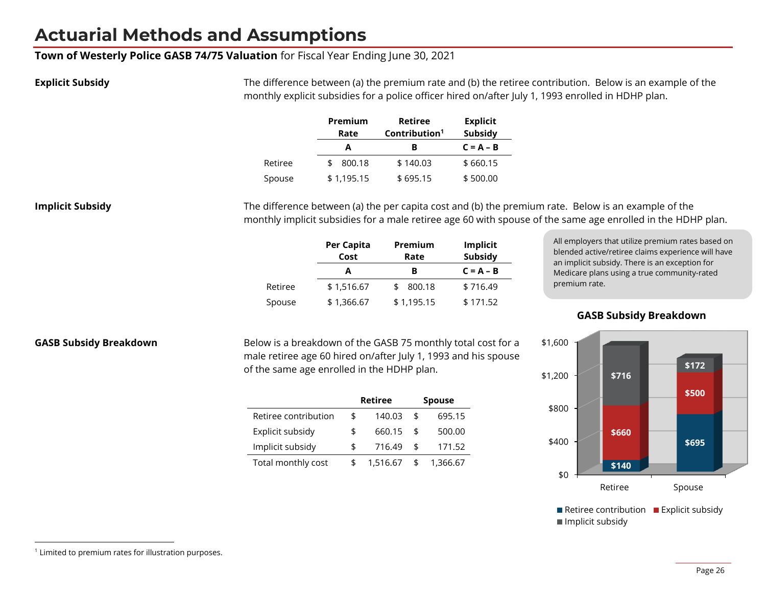#### **Town of Westerly Police GASB 74/75 Valuation** for Fiscal Year Ending June 30, 2021

**Explicit Subsidy** The difference between (a) the premium rate and (b) the retiree contribution. Below is an example of the monthly explicit subsidies for a police officer hired on/after July 1, 1993 enrolled in HDHP plan.

|         | Premium    | <b>Retiree</b>            | <b>Explicit</b> |  |
|---------|------------|---------------------------|-----------------|--|
|         | Rate       | Contribution <sup>1</sup> | <b>Subsidy</b>  |  |
|         | А          | в                         | $C = A - B$     |  |
| Retiree | 800.18     | \$140.03                  | \$660.15        |  |
| Spouse  | \$1,195.15 | \$695.15                  | \$500.00        |  |

**Implicit Subsidy** The difference between (a) the per capita cost and (b) the premium rate. Below is an example of the monthly implicit subsidies for a male retiree age 60 with spouse of the same age enrolled in the HDHP plan.

| Per Capita<br>Cost | Premium<br>Rate | Implicit<br><b>Subsidy</b> |  |  |
|--------------------|-----------------|----------------------------|--|--|
| А                  | в               | $C = A - B$                |  |  |
| \$1,516.67         | 800.18          | \$716.49                   |  |  |
| \$1,366.67         | \$1,195.15      | \$171.52                   |  |  |
|                    |                 |                            |  |  |

All employers that utilize premium rates based on blended active/retiree claims experience will have an implicit subsidy. There is an exception for Medicare plans using a true community-rated premium rate.

**GASB Subsidy Breakdown**

**GASB Subsidy Breakdown** Below is a breakdown of the GASB 75 monthly total cost for a male retiree age 60 hired on/after July 1, 1993 and his spouse of the same age enrolled in the HDHP plan.

|                      | <b>Retiree</b> | <b>Spouse</b>  |
|----------------------|----------------|----------------|
| Retiree contribution | \$<br>140.03   | \$<br>695.15   |
| Explicit subsidy     | \$<br>660.15   | \$<br>500.00   |
| Implicit subsidy     | \$<br>716.49   | \$<br>171.52   |
| Total monthly cost   | 1,516.67       | \$<br>1,366.67 |



Retiree contribution **Explicit subsidy Implicit subsidy** 

<sup>&</sup>lt;sup>1</sup> Limited to premium rates for illustration purposes.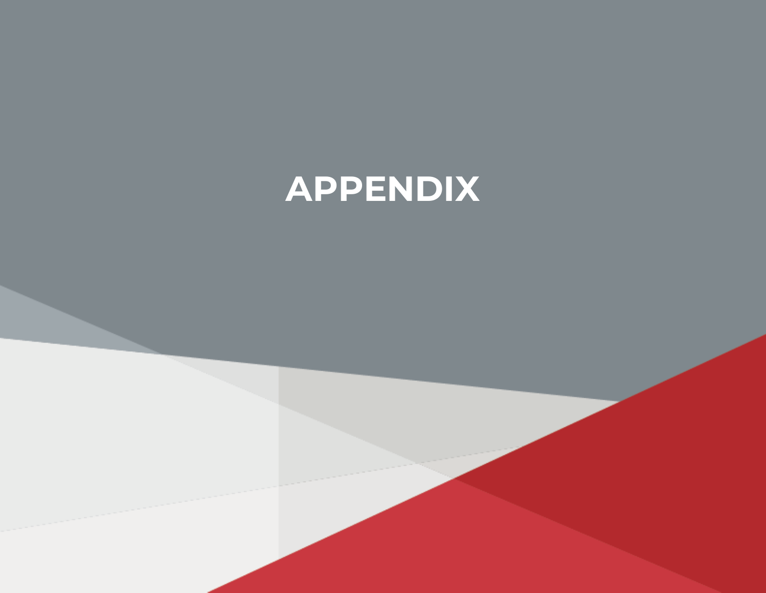# **APPENDIX**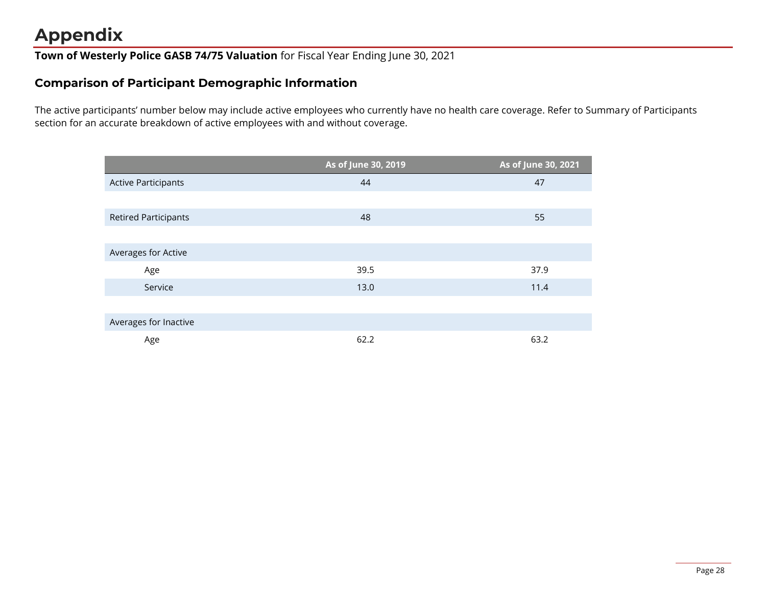## **Appendix**

**Town of Westerly Police GASB 74/75 Valuation** for Fiscal Year Ending June 30, 2021

### **Comparison of Participant Demographic Information**

The active participants' number below may include active employees who currently have no health care coverage. Refer to Summary of Participants section for an accurate breakdown of active employees with and without coverage.

|                             | As of June 30, 2019 | As of June 30, 2021 |
|-----------------------------|---------------------|---------------------|
| <b>Active Participants</b>  | 44                  | 47                  |
|                             |                     |                     |
| <b>Retired Participants</b> | 48                  | 55                  |
|                             |                     |                     |
| Averages for Active         |                     |                     |
| Age                         | 39.5                | 37.9                |
| Service                     | 13.0                | 11.4                |
|                             |                     |                     |
| Averages for Inactive       |                     |                     |
| Age                         | 62.2                | 63.2                |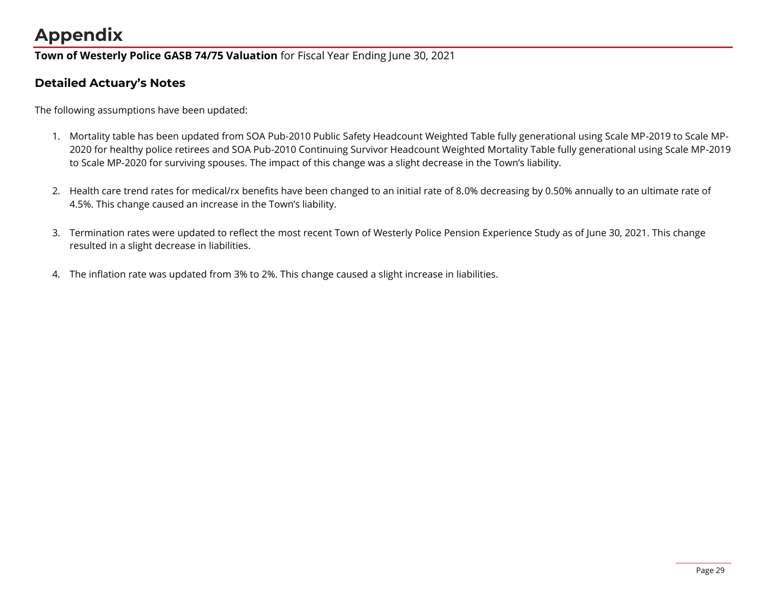## **Appendix**

**Town of Westerly Police GASB 74/75 Valuation** for Fiscal Year Ending June 30, 2021

### **Detailed Actuary's Notes**

The following assumptions have been updated:

- 1. Mortality table has been updated from SOA Pub-2010 Public Safety Headcount Weighted Table fully generational using Scale MP-2019 to Scale MP-2020 for healthy police retirees and SOA Pub-2010 Continuing Survivor Headcount Weighted Mortality Table fully generational using Scale MP-2019 to Scale MP-2020 for surviving spouses. The impact of this change was a slight decrease in the Town's liability.
- 2. Health care trend rates for medical/rx benefits have been changed to an initial rate of 8.0% decreasing by 0.50% annually to an ultimate rate of 4.5%. This change caused an increase in the Town's liability.
- 3. Termination rates were updated to reflect the most recent Town of Westerly Police Pension Experience Study as of June 30, 2021. This change resulted in a slight decrease in liabilities.
- 4. The inflation rate was updated from 3% to 2%. This change caused a slight increase in liabilities.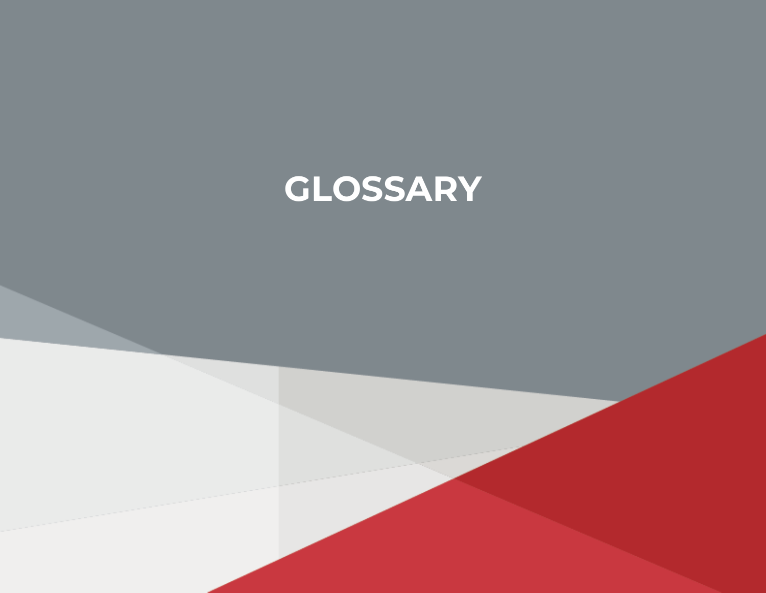# **GLOSSARY**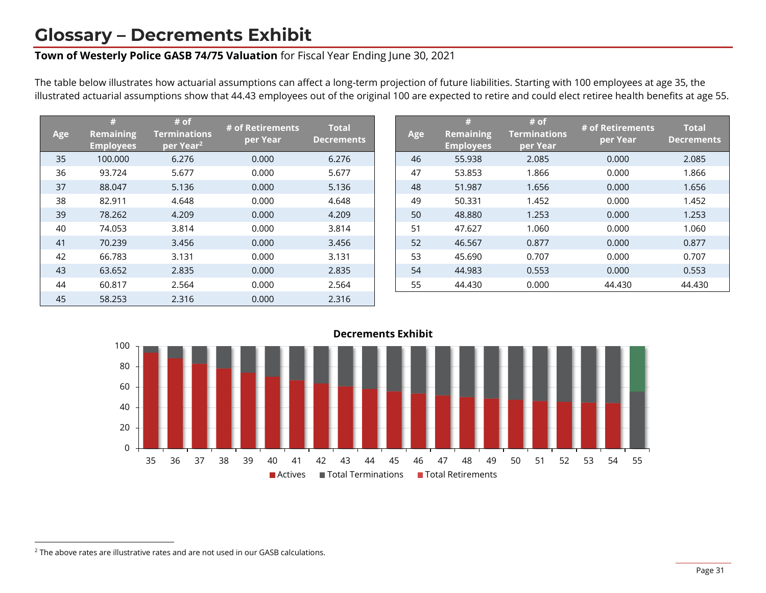### **Glossary – Decrements Exhibit**

#### **Town of Westerly Police GASB 74/75 Valuation** for Fiscal Year Ending June 30, 2021

The table below illustrates how actuarial assumptions can affect a long-term projection of future liabilities. Starting with 100 employees at age 35, the illustrated actuarial assumptions show that 44.43 employees out of the original 100 are expected to retire and could elect retiree health benefits at age 55.

| Age | #<br><b>Remaining</b><br><b>Employees</b> | # of<br><b>Terminations</b><br>per Year <sup>2</sup> | # of Retirements<br>per Year | <b>Total</b><br><b>Decrements</b> | Age | #<br><b>Remaining</b><br><b>Employees</b> | # of<br><b>Terminations</b><br>per Year | # of Retirements<br>per Year | <b>Total</b><br><b>Decreme</b> |
|-----|-------------------------------------------|------------------------------------------------------|------------------------------|-----------------------------------|-----|-------------------------------------------|-----------------------------------------|------------------------------|--------------------------------|
| 35  | 100.000                                   | 6.276                                                | 0.000                        | 6.276                             | 46  | 55.938                                    | 2.085                                   | 0.000                        | 2.085                          |
| 36  | 93.724                                    | 5.677                                                | 0.000                        | 5.677                             | 47  | 53.853                                    | 1.866                                   | 0.000                        | 1.866                          |
| 37  | 88.047                                    | 5.136                                                | 0.000                        | 5.136                             | 48  | 51.987                                    | 1.656                                   | 0.000                        | 1.656                          |
| 38  | 82.911                                    | 4.648                                                | 0.000                        | 4.648                             | 49  | 50.331                                    | 1.452                                   | 0.000                        | 1.452                          |
| 39  | 78.262                                    | 4.209                                                | 0.000                        | 4.209                             | 50  | 48.880                                    | 1.253                                   | 0.000                        | 1.253                          |
| 40  | 74.053                                    | 3.814                                                | 0.000                        | 3.814                             | 51  | 47.627                                    | 1.060                                   | 0.000                        | 1.060                          |
| 41  | 70.239                                    | 3.456                                                | 0.000                        | 3.456                             | 52  | 46.567                                    | 0.877                                   | 0.000                        | 0.877                          |
| 42  | 66.783                                    | 3.131                                                | 0.000                        | 3.131                             | 53  | 45.690                                    | 0.707                                   | 0.000                        | 0.707                          |
| 43  | 63.652                                    | 2.835                                                | 0.000                        | 2.835                             | 54  | 44.983                                    | 0.553                                   | 0.000                        | 0.553                          |
| 44  | 60.817                                    | 2.564                                                | 0.000                        | 2.564                             | 55  | 44.430                                    | 0.000                                   | 44.430                       | 44.430                         |
| 45  | 58.253                                    | 2.316                                                | 0.000                        | 2.316                             |     |                                           |                                         |                              |                                |

| Age | #<br><b>Remaining</b><br><b>Employees</b> | # of<br><b>Terminations</b><br>per Year | # of Retirements<br>per Year | <b>Total</b><br><b>Decrements</b> |
|-----|-------------------------------------------|-----------------------------------------|------------------------------|-----------------------------------|
| 46  | 55.938                                    | 2.085                                   | 0.000                        | 2.085                             |
| 47  | 53.853                                    | 1.866                                   | 0.000                        | 1.866                             |
| 48  | 51.987                                    | 1.656                                   | 0.000                        | 1.656                             |
| 49  | 50.331                                    | 1.452                                   | 0.000                        | 1.452                             |
| 50  | 48.880                                    | 1.253                                   | 0.000                        | 1.253                             |
| 51  | 47.627                                    | 1.060                                   | 0.000                        | 1.060                             |
| 52  | 46.567                                    | 0.877                                   | 0.000                        | 0.877                             |
| 53  | 45.690                                    | 0.707                                   | 0.000                        | 0.707                             |
| 54  | 44.983                                    | 0.553                                   | 0.000                        | 0.553                             |
| 55  | 44.430                                    | 0.000                                   | 44.430                       | 44.430                            |



 $2$  The above rates are illustrative rates and are not used in our GASB calculations.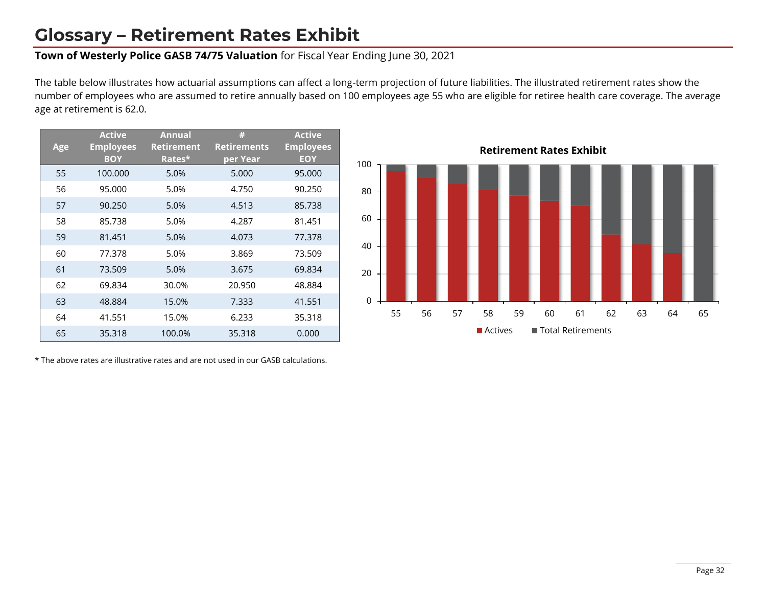### **Glossary – Retirement Rates Exhibit**

#### **Town of Westerly Police GASB 74/75 Valuation** for Fiscal Year Ending June 30, 2021

The table below illustrates how actuarial assumptions can affect a long-term projection of future liabilities. The illustrated retirement rates show the number of employees who are assumed to retire annually based on 100 employees age 55 who are eligible for retiree health care coverage. The average age at retirement is 62.0.

| <b>Age</b> | <b>Active</b><br><b>Employees</b><br><b>BOY</b> | <b>Annual</b><br><b>Retirement</b><br>Rates* | #<br><b>Retirements</b><br>per Year | <b>Active</b><br><b>Employees</b><br><b>EOY</b> |
|------------|-------------------------------------------------|----------------------------------------------|-------------------------------------|-------------------------------------------------|
| 55         | 100.000                                         | 5.0%                                         | 5.000                               | 95.000                                          |
| 56         | 95.000                                          | 5.0%                                         | 4.750                               | 90.250                                          |
| 57         | 90.250                                          | 5.0%                                         | 4.513                               | 85.738                                          |
| 58         | 85.738                                          | 5.0%                                         | 4.287                               | 81.451                                          |
| 59         | 81.451                                          | 5.0%                                         | 4.073                               | 77.378                                          |
| 60         | 77.378                                          | 5.0%                                         | 3.869                               | 73.509                                          |
| 61         | 73.509                                          | 5.0%                                         | 3.675                               | 69.834                                          |
| 62         | 69.834                                          | 30.0%                                        | 20.950                              | 48.884                                          |
| 63         | 48.884                                          | 15.0%                                        | 7.333                               | 41.551                                          |
| 64         | 41.551                                          | 15.0%                                        | 6.233                               | 35.318                                          |
| 65         | 35.318                                          | 100.0%                                       | 35.318                              | 0.000                                           |

\* The above rates are illustrative rates and are not used in our GASB calculations.

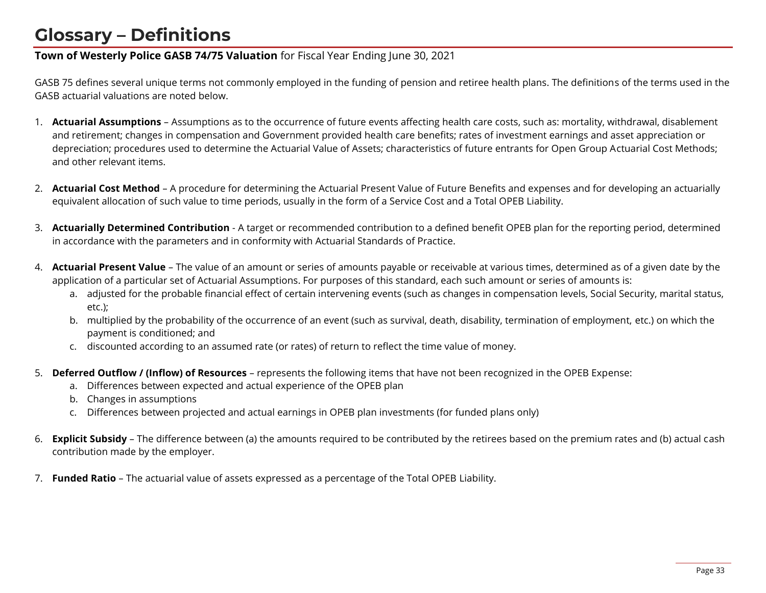## **Glossary – Definitions**

#### **Town of Westerly Police GASB 74/75 Valuation** for Fiscal Year Ending June 30, 2021

GASB 75 defines several unique terms not commonly employed in the funding of pension and retiree health plans. The definitions of the terms used in the GASB actuarial valuations are noted below.

- 1. **Actuarial Assumptions** Assumptions as to the occurrence of future events affecting health care costs, such as: mortality, withdrawal, disablement and retirement; changes in compensation and Government provided health care benefits; rates of investment earnings and asset appreciation or depreciation; procedures used to determine the Actuarial Value of Assets; characteristics of future entrants for Open Group Actuarial Cost Methods; and other relevant items.
- 2. **Actuarial Cost Method** A procedure for determining the Actuarial Present Value of Future Benefits and expenses and for developing an actuarially equivalent allocation of such value to time periods, usually in the form of a Service Cost and a Total OPEB Liability.
- 3. **Actuarially Determined Contribution** A target or recommended contribution to a defined benefit OPEB plan for the reporting period, determined in accordance with the parameters and in conformity with Actuarial Standards of Practice.
- 4. **Actuarial Present Value**  The value of an amount or series of amounts payable or receivable at various times, determined as of a given date by the application of a particular set of Actuarial Assumptions. For purposes of this standard, each such amount or series of amounts is:
	- a. adjusted for the probable financial effect of certain intervening events (such as changes in compensation levels, Social Security, marital status, etc.);
	- b. multiplied by the probability of the occurrence of an event (such as survival, death, disability, termination of employment, etc.) on which the payment is conditioned; and
	- c. discounted according to an assumed rate (or rates) of return to reflect the time value of money.
- 5. **Deferred Outflow / (Inflow) of Resources** represents the following items that have not been recognized in the OPEB Expense:
	- a. Differences between expected and actual experience of the OPEB plan
	- b. Changes in assumptions
	- c. Differences between projected and actual earnings in OPEB plan investments (for funded plans only)
- 6. **Explicit Subsidy** The difference between (a) the amounts required to be contributed by the retirees based on the premium rates and (b) actual cash contribution made by the employer.
- 7. **Funded Ratio** The actuarial value of assets expressed as a percentage of the Total OPEB Liability.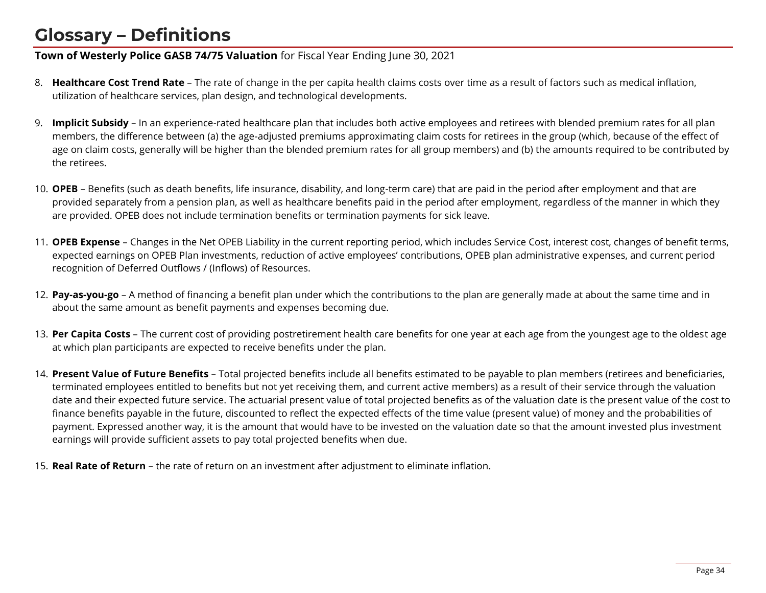## **Glossary – Definitions**

#### **Town of Westerly Police GASB 74/75 Valuation** for Fiscal Year Ending June 30, 2021

- 8. **Healthcare Cost Trend Rate** The rate of change in the per capita health claims costs over time as a result of factors such as medical inflation, utilization of healthcare services, plan design, and technological developments.
- 9. **Implicit Subsidy** In an experience-rated healthcare plan that includes both active employees and retirees with blended premium rates for all plan members, the difference between (a) the age-adjusted premiums approximating claim costs for retirees in the group (which, because of the effect of age on claim costs, generally will be higher than the blended premium rates for all group members) and (b) the amounts required to be contributed by the retirees.
- 10. **OPEB** Benefits (such as death benefits, life insurance, disability, and long-term care) that are paid in the period after employment and that are provided separately from a pension plan, as well as healthcare benefits paid in the period after employment, regardless of the manner in which they are provided. OPEB does not include termination benefits or termination payments for sick leave.
- 11. **OPEB Expense** Changes in the Net OPEB Liability in the current reporting period, which includes Service Cost, interest cost, changes of benefit terms, expected earnings on OPEB Plan investments, reduction of active employees' contributions, OPEB plan administrative expenses, and current period recognition of Deferred Outflows / (Inflows) of Resources.
- 12. **Pay-as-you-go** A method of financing a benefit plan under which the contributions to the plan are generally made at about the same time and in about the same amount as benefit payments and expenses becoming due.
- 13. **Per Capita Costs** The current cost of providing postretirement health care benefits for one year at each age from the youngest age to the oldest age at which plan participants are expected to receive benefits under the plan.
- 14. **Present Value of Future Benefits**  Total projected benefits include all benefits estimated to be payable to plan members (retirees and beneficiaries, terminated employees entitled to benefits but not yet receiving them, and current active members) as a result of their service through the valuation date and their expected future service. The actuarial present value of total projected benefits as of the valuation date is the present value of the cost to finance benefits payable in the future, discounted to reflect the expected effects of the time value (present value) of money and the probabilities of payment. Expressed another way, it is the amount that would have to be invested on the valuation date so that the amount invested plus investment earnings will provide sufficient assets to pay total projected benefits when due.
- 15. **Real Rate of Return** the rate of return on an investment after adjustment to eliminate inflation.